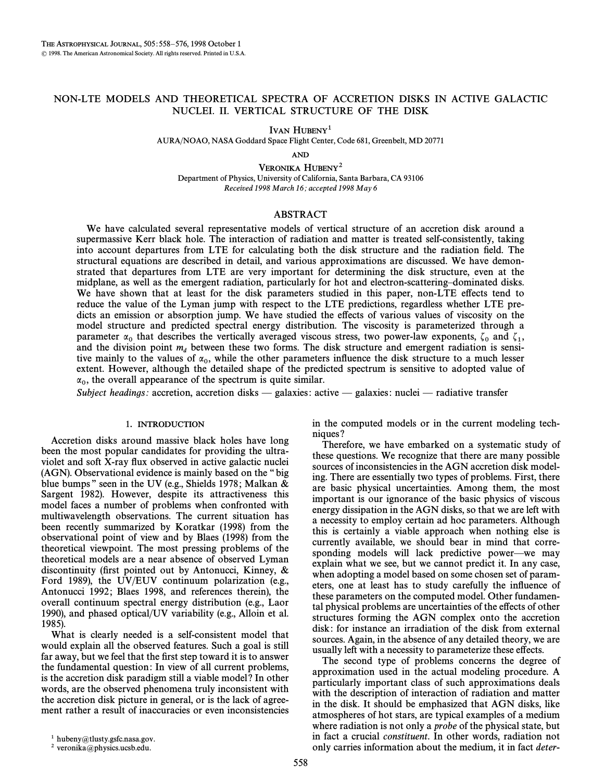# NON-LTE MODELS AND THEORETICAL SPECTRA OF ACCRETION DISKS IN ACTIVE GALACTIC NUCLEI. II. VERTICAL STRUCTURE OF THE DISK

IVAN HUBENY<sup>1</sup> AURA/NOAO, NASA Goddard Space Flight Center, Code 681, Greenbelt, MD 20771

AND

VERONIKA HUBENY<sup>2</sup> Department of Physics, University of California, Santa Barbara, CA 93106 Received 1998 March 16; accepted 1998 May 6

# ABSTRACT

We have calculated several representative models of vertical structure of an accretion disk around a supermassive Kerr black hole. The interaction of radiation and matter is treated self-consistently, taking into account departures from LTE for calculating both the disk structure and the radiation field. The structural equations are described in detail, and various approximations are discussed. We have demonstrated that departures from LTE are very important for determining the disk structure, even at the midplane, as well as the emergent radiation, particularly for hot and electron-scattering–dominated disks. We have shown that at least for the disk parameters studied in this paper, non-LTE effects tend to reduce the value of the Lyman jump with respect to the LTE predictions, regardless whether LTE predicts an emission or absorption jump. We have studied the e†ects of various values of viscosity on the model structure and predicted spectral energy distribution. The viscosity is parameterized through a parameter  $\alpha_0$  that describes the vertically averaged viscous stress, two power-law exponents,  $\zeta_0$  and  $\zeta_1$ , and  $\zeta_2$ and the division point  $m_d$  between these two forms. The disk structure and emergent radiation is sensiand the division point  $m_d$  between these two forms. The disk structure and emergent radiation is sensi- tive mainly to the values of  $\alpha_0$ , while the other parameters influence the disk structure to a much lesser extent. However, although the detailed shape of the predicted spectrum is sensitive to adopted value of  $\alpha_0$ , the overall appearance of the spectrum is quite similar.

Subject headings: accretion, accretion disks  $-$  galaxies: active  $-$  galaxies: nuclei  $-$  radiative transfer

# 1. INTRODUCTION

Accretion disks around massive black holes have long been the most popular candidates for providing the ultraviolet and soft X-ray flux observed in active galactic nuclei (AGN). Observational evidence is mainly based on the "big" blue bumps" seen in the UV (e.g., Shields 1978; Malkan  $\&$ Sargent 1982). However, despite its attractiveness this model faces a number of problems when confronted with multiwavelength observations. The current situation has been recently summarized by Koratkar (1998) from the observational point of view and by Blaes (1998) from the theoretical viewpoint. The most pressing problems of the theoretical models are a near absence of observed Lyman discontinuity (first pointed out by Antonucci, Kinney,  $\&$ Ford 1989), the UV/EUV continuum polarization (e.g., Antonucci 1992; Blaes 1998, and references therein), the overall continuum spectral energy distribution (e.g., Laor 1990), and phased optical/UV variability (e.g., Alloin et al. 1985).

What is clearly needed is a self-consistent model that would explain all the observed features. Such a goal is still far away, but we feel that the first step toward it is to answer the fundamental question: In view of all current problems, is the accretion disk paradigm still a viable model? In other words, are the observed phenomena truly inconsistent with the accretion disk picture in general, or is the lack of agreement rather a result of inaccuracies or even inconsistencies

 $1$  hubeny@tlusty.gsfc.nasa.gov.

in the computed models or in the current modeling techniques?

Therefore, we have embarked on a systematic study of these questions. We recognize that there are many possible sources of inconsistencies in the AGN accretion disk modeling. There are essentially two types of problems. First, there are basic physical uncertainties. Among them, the most important is our ignorance of the basic physics of viscous energy dissipation in the AGN disks, so that we are left with a necessity to employ certain ad hoc parameters. Although this is certainly a viable approach when nothing else is currently available, we should bear in mind that corresponding models will lack predictive power—we may explain what we see, but we cannot predict it. In any case, when adopting a model based on some chosen set of parameters, one at least has to study carefully the inÑuence of these parameters on the computed model. Other fundamental physical problems are uncertainties of the effects of other structures forming the AGN complex onto the accretion disk: for instance an irradiation of the disk from external sources. Again, in the absence of any detailed theory, we are usually left with a necessity to parameterize these effects.

The second type of problems concerns the degree of approximation used in the actual modeling procedure. A particularly important class of such approximations deals with the description of interaction of radiation and matter in the disk. It should be emphasized that AGN disks, like atmospheres of hot stars, are typical examples of a medium where radiation is not only a *probe* of the physical state, but in fact a crucial constituent. In other words, radiation not only carries information about the medium, it in fact deter-

 $2$  veronika@physics.ucsb.edu.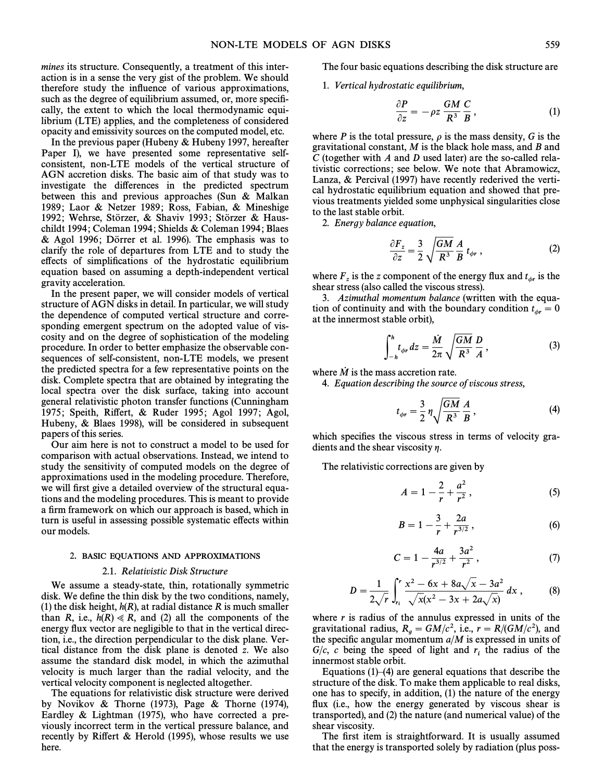mines its structure. Consequently, a treatment of this interaction is in a sense the very gist of the problem. We should therefore study the influence of various approximations, such as the degree of equilibrium assumed, or, more specifically, the extent to which the local thermodynamic equilibrium (LTE) applies, and the completeness of considered opacity and emissivity sources on the computed model, etc.

In the previous paper (Hubeny  $&$  Hubeny 1997, hereafter Paper I), we have presented some representative selfconsistent, non-LTE models of the vertical structure of AGN accretion disks. The basic aim of that study was to investigate the differences in the predicted spectrum between this and previous approaches (Sun  $\&$  Malkan 1989; Laor & Netzer 1989; Ross, Fabian, & Mineshige 1992; Wehrse, Störzer, & Shaviv 1993; Störzer & Hauschildt 1994; Coleman 1994; Shields & Coleman 1994; Blaes & Agol 1996; Dörrer et al. 1996). The emphasis was to clarify the role of departures from LTE and to study the effects of simplifications of the hydrostatic equilibrium equation based on assuming a depth-independent vertical gravity acceleration.

In the present paper, we will consider models of vertical structure of AGN disks in detail. In particular, we will study the dependence of computed vertical structure and corresponding emergent spectrum on the adopted value of viscosity and on the degree of sophistication of the modeling procedure. In order to better emphasize the observable consequences of self-consistent, non-LTE models, we present the predicted spectra for a few representative points on the disk. Complete spectra that are obtained by integrating the local spectra over the disk surface, taking into account general relativistic photon transfer functions (Cunningham 1975; Speith, Riffert, & Ruder 1995; Agol 1997; Agol, Hubeny,  $\&$  Blaes 1998), will be considered in subsequent papers of this series.

Our aim here is not to construct a model to be used for comparison with actual observations. Instead, we intend to study the sensitivity of computed models on the degree of approximations used in the modeling procedure. Therefore, we will first give a detailed overview of the structural equations and the modeling procedures. This is meant to provide a firm framework on which our approach is based, which in turn is useful in assessing possible systematic effects within our models.

#### 2. BASIC EQUATIONS AND APPROXIMATIONS

#### 2.1. Relativistic Disk Structure

We assume a steady-state, thin, rotationally symmetric disk. We define the thin disk by the two conditions, namely, (1) the disk height,  $h(R)$ , at radial distance R is much smaller than R, i.e.,  $h(R) \ll R$ , and (2) all the components of the energy flux vector are negligible to that in the vertical direction, i.e., the direction perpendicular to the disk plane. Vertical distance from the disk plane is denoted z. We also assume the standard disk model, in which the azimuthal velocity is much larger than the radial velocity, and the vertical velocity component is neglected altogether.

The equations for relativistic disk structure were derived by Novikov & Thorne (1973), Page & Thorne (1974), Eardley  $\&$  Lightman (1975), who have corrected a previously incorrect term in the vertical pressure balance, and recently by Riffert & Herold (1995), whose results we use here.

The four basic equations describing the disk structure are

1. Vertical hydrostatic equilibrium,

$$
\frac{\partial P}{\partial z} = -\rho z \frac{GM}{R^3} \frac{C}{B},\qquad(1)
$$

where P is the total pressure,  $\rho$  is the mass density, G is the gravitational constant,  $M$  is the black hole mass, and  $B$  and C (together with A and D used later) are the so-called relativistic corrections; see below. We note that Abramowicz, Lanza,  $&$  Percival (1997) have recently rederived the vertical hydrostatic equilibrium equation and showed that previous treatments yielded some unphysical singularities close to the last stable orbit.

2. Energy balance equation,

$$
\frac{\partial F_z}{\partial z} = \frac{3}{2} \sqrt{\frac{GM}{R^3}} \frac{A}{B} t_{\phi r} , \qquad (2)
$$

where  $F_z$  is the z component of the energy flux and  $t_{\phi r}$  is the shear stress (also called the viscous stress).

3. Azimuthal momentum balance (written with the equation of continuity and with the boundary condition  $t_{\phi r} = 0$ <br>at the innermost stable orbit) at the innermost stable orbit),

$$
\int_{-h}^{h} t_{\phi r} dz = \frac{\dot{M}}{2\pi} \sqrt{\frac{GM}{R^3}} \frac{D}{A},
$$
\n(3)

where  $\dot{M}$  is the mass accretion rate.

4. Equation describing the source of viscous stress,

$$
t_{\phi r} = \frac{3}{2} \eta \sqrt{\frac{GM}{R^3}} \frac{A}{B}, \qquad (4)
$$

which specifies the viscous stress in terms of velocity gradients and the shear viscosity  $\eta$ .

The relativistic corrections are given by

$$
A = 1 - \frac{2}{r} + \frac{a^2}{r^2},
$$
 (5)

$$
B = 1 - \frac{3}{r} + \frac{2a}{r^{3/2}},
$$
 (6)

$$
C = 1 - \frac{4a}{r^{3/2}} + \frac{3a^2}{r^2},
$$
 (7)

$$
D = \frac{1}{2\sqrt{r}} \int_{r_1}^{r} \frac{x^2 - 6x + 8a\sqrt{x} - 3a^2}{\sqrt{x}(x^2 - 3x + 2a\sqrt{x})} dx ,
$$
 (8)

where  $r$  is radius of the annulus expressed in units of the gravitational radius,  $R_g = GM/c^2$ , i.e.,  $r = R/(GM/c^2)$ , and the specific angular momentum  $a/M$  is expressed in units of the specific angular momentum  $a/M$  is expressed in units of  $G/c$ , c being the speed of light and  $r<sub>i</sub>$  the radius of the innermost stable orbit innermost stable orbit.

Equations  $(1)$ – $(4)$  are general equations that describe the structure of the disk. To make them applicable to real disks, one has to specify, in addition, (1) the nature of the energy flux (i.e., how the energy generated by viscous shear is transported), and (2) the nature (and numerical value) of the shear viscosity.

The first item is straightforward. It is usually assumed that the energy is transported solely by radiation (plus poss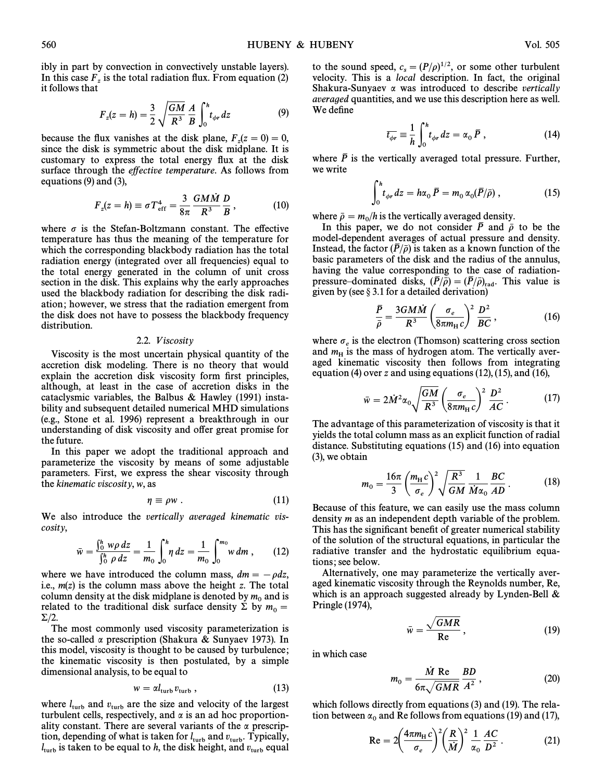ibly in part by convection in convectively unstable layers). In this case  $F_z$  is the total radiation flux. From equation (2) it follows that

$$
F_z(z = h) = \frac{3}{2} \sqrt{\frac{GM}{R^3}} \frac{A}{B} \int_0^h t_{\phi r} dz
$$
 (9)

because the flux vanishes at the disk plane,  $F_z(z=0) = 0$ ,<br>since the disk is symmetric about the disk midplane. It is since the disk is symmetric about the disk midplane. It is customary to express the total energy Ñux at the disk surface through the *effective temperature*. As follows from equations  $(9)$  and  $(3)$ ,

$$
F_z(z=h) \equiv \sigma T_{\rm eff}^4 = \frac{3}{8\pi} \frac{GM\dot{M}}{R^3} \frac{D}{B},\qquad (10)
$$

where  $\sigma$  is the Stefan-Boltzmann constant. The effective temperature has thus the meaning of the temperature for which the corresponding blackbody radiation has the total radiation energy (integrated over all frequencies) equal to the total energy generated in the column of unit cross section in the disk. This explains why the early approaches used the blackbody radiation for describing the disk radiation; however, we stress that the radiation emergent from the disk does not have to possess the blackbody frequency distribution.

### 2.2. Viscosity

Viscosity is the most uncertain physical quantity of the accretion disk modeling. There is no theory that would explain the accretion disk viscosity form first principles, although, at least in the case of accretion disks in the cataclysmic variables, the Balbus  $\&$  Hawley (1991) instability and subsequent detailed numerical MHD simulations (e.g., Stone et al. 1996) represent a breakthrough in our understanding of disk viscosity and offer great promise for the future.

In this paper we adopt the traditional approach and parameterize the viscosity by means of some adjustable parameters. First, we express the shear viscosity through the kinematic viscosity, w, as

$$
\eta \equiv \rho w \ . \tag{11}
$$

We also introduce the vertically averaged kinematic viscosity,

$$
\bar{w} = \frac{\int_0^h w \rho \, dz}{\int_0^h \rho \, dz} = \frac{1}{m_0} \int_0^h \eta \, dz = \frac{1}{m_0} \int_0^{m_0} w \, dm \,, \qquad (12)
$$

where we have introduced the column mass,  $dm = -\rho dz$ , i.e.,  $m(z)$  is the column mass above the height z. The total column density at the disk midplane is denoted by  $m_0$  and is related to the traditional disk surface density  $\Sigma$  by  $m_0 =$  $\Sigma/2$ .

The most commonly used viscosity parameterization is the so-called  $\alpha$  prescription (Shakura & Sunyaev 1973). In this model, viscosity is thought to be caused by turbulence; the kinematic viscosity is then postulated, by a simple dimensional analysis, to be equal to

$$
w = \alpha l_{\text{turb}} v_{\text{turb}} \,, \tag{13}
$$

where  $l_{\text{turb}}$  and  $v_{\text{turb}}$  are the size and velocity of the largest turbulent cells respectively and x is an ad boc proportionturbulent cells, respectively, and  $\alpha$  is an ad hoc proportionality constant. There are several variants of the  $\alpha$  prescription, depending of what is taken for  $l_{\text{turb}}$  and  $v_{\text{turb}}$ . Typically,  $l_{\text{turb}}$  is taken to be equal to h the disk beight and research  $l_{\text{turb}}$  is taken to be equal to h, the disk height, and  $v_{\text{turb}}$  equal

to the sound speed,  $c_s = (P/\rho)^{1/2}$ , or some other turbulent velocity. This is a *local* description. In fact, the original Shakura-Sunyaev  $\alpha$  was introduced to describe vertically averaged quantities, and we use this description here as well. We define

$$
\overline{t_{\phi r}} \equiv \frac{1}{h} \int_0^h t_{\phi r} dz = \alpha_0 \,\overline{P} \,, \tag{14}
$$

where  $\overline{P}$  is the vertically averaged total pressure. Further, we write

$$
\int_0^h t_{\phi r} dz = h\alpha_0 \,\overline{P} = m_0 \,\alpha_0(\overline{P}/\overline{\rho})\,,\tag{15}
$$

where  $\bar{\rho} = m_0/h$  is the vertically averaged density.<br>In this paper, we do not consider  $\bar{P}$  and  $\bar{\phi}$ .

In this paper, we do not consider  $\bar{P}$  and  $\bar{\rho}$  to be the model-dependent averages of actual pressure and density. Instead, the factor  $(P/\bar{\rho})$  is taken as a known function of the basic parameters of the disk and the radius of the annulus, having the value corresponding to the case of radiationpressure–dominated disks,  $(\overline{P}/\overline{\rho}) = (\overline{P}/\overline{\rho})_{\text{rad}}$ . This value is given by (see 8.3.1 for a detailed derivation). given by (see § 3.1 for a detailed derivation)<br> $\frac{\bar{P}}{A} = \frac{3GM\dot{M}}{2} \left(\frac{\sigma_e}{\sigma_e}\right)^2 \frac{D^2}{2}$ 

$$
\frac{\bar{P}}{\bar{\rho}} = \frac{3GM\dot{M}}{R^3} \left(\frac{\sigma_e}{8\pi m_{\rm H}c}\right)^2 \frac{D^2}{BC},\tag{16}
$$

where  $\sigma_e$  is the electron (Thomson) scattering cross section and  $m_H$  is the mass of hydrogen atom. The vertically aver- aged kinematic viscosity then follows from integrating equation (4) over z and using equations  $(12)$ ,  $(15)$ , and  $(16)$ ,

$$
\bar{w} = 2\dot{M}^2 \alpha_0 \sqrt{\frac{GM}{R^3}} \left(\frac{\sigma_e}{8\pi m_{\rm H}c}\right)^2 \frac{D^2}{AC} \,. \tag{17}
$$

The advantage of this parameterization of viscosity is that it yields the total column mass as an explicit function of radial distance. Substituting equations  $(15)$  and  $(16)$  into equation (3), we obtain

$$
m_0 = \frac{16\pi}{3} \left(\frac{m_{\rm H}c}{\sigma_e}\right)^2 \sqrt{\frac{R^3}{GM}} \frac{1}{\dot{M}\alpha_0} \frac{BC}{AD}.
$$
 (18)

Because of this feature, we can easily use the mass column density m as an independent depth variable of the problem. This has the significant benefit of greater numerical stability of the solution of the structural equations, in particular the radiative transfer and the hydrostatic equilibrium equations; see below.

Alternatively, one may parameterize the vertically averaged kinematic viscosity through the Reynolds number, Re, which is an approach suggested already by Lynden-Bell  $\&$ Pringle (1974),

$$
\bar{w} = \frac{\sqrt{GMR}}{Re},\qquad(19)
$$

in which case

$$
m_0 = \frac{\dot{M} \text{ Re}}{6\pi \sqrt{GMR}} \frac{BD}{A^2},\qquad (20)
$$

which follows directly from equations  $(3)$  and  $(19)$ . The rela-

tion between 
$$
\alpha_0
$$
 and Re follows from equations (19) and (17),  
\n
$$
Re = 2\left(\frac{4\pi m_H c}{\sigma_e}\right)^2 \left(\frac{R}{M}\right)^2 \frac{1}{\alpha_0} \frac{AC}{D^2}.
$$
\n(21)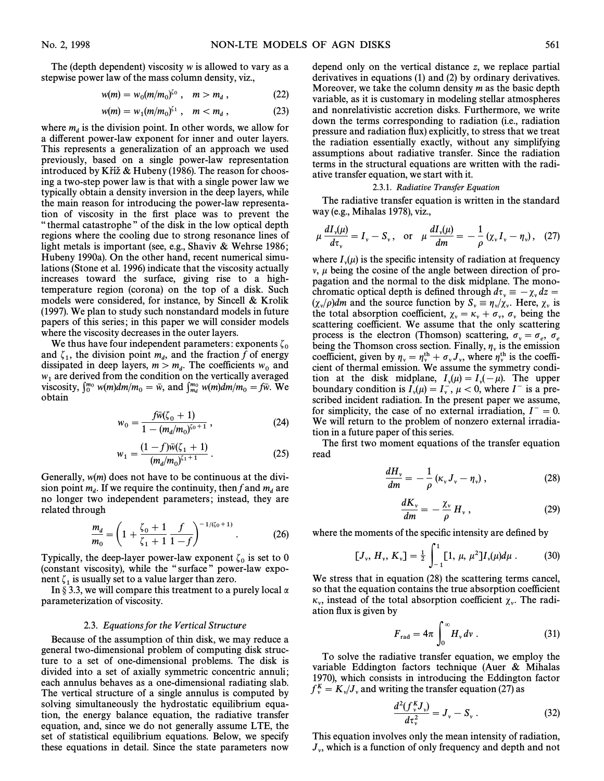The (depth dependent) viscosity w is allowed to vary as a stepwise power law of the mass column density, viz.,

$$
w(m) = w_0(m/m_0)^{50} , \quad m > m_d , \qquad (22)
$$

$$
w(m) = w_1 (m/m_0)^{\zeta_1} , \quad m < m_d , \qquad (23)
$$

where  $m_d$  is the division point. In other words, we allow for a different power-law exponent for inner and outer layers. This represents a generalization of an approach we used previously, based on a single power-law representation introduced by Kříž  $&$  Hubeny (1986). The reason for choosing a two-step power law is that with a single power law we typically obtain a density inversion in the deep layers, while the main reason for introducing the power-law representation of viscosity in the first place was to prevent the "thermal catastrophe" of the disk in the low optical depth regions where the cooling due to strong resonance lines of light metals is important (see, e.g., Shaviv & Wehrse 1986; Hubeny 1990a). On the other hand, recent numerical simulations (Stone et al. 1996) indicate that the viscosity actually increases toward the surface, giving rise to a hightemperature region (corona) on the top of a disk. Such models were considered, for instance, by Sincell & Krolik (1997). We plan to study such nonstandard models in future papers of this series; in this paper we will consider models where the viscosity decreases in the outer layers.

We thus have four independent parameters: exponents  $\zeta_0$ and  $\zeta_1$ , the division point  $m_d$ , and the fraction f of energy<br>discipated in deep layers  $m > m$ . The coefficients we and dissipated in deep layers,  $m > m_d$ . The coefficients  $w_0$  and  $w_1$  are derived from the condition on the vertically averaged dissipated in deep layers,  $m > m_d$ . The coefficients  $w_0$  and  $w_1$  are derived from the condition on the vertically averaged viscosity,  $\int_0^{m_0} w(m)dm/m_0 = \bar{w}$ , and  $\int_{m_d}^{m_0} w(m)dm/m_0 = f\bar{w}$ . We obtain obtain

$$
w_0 = \frac{f\bar{w}(\zeta_0 + 1)}{1 - (m_d/m_0)^{\zeta_0 + 1}},
$$
 (24)

$$
w_1 = \frac{(1 - f)\bar{w}(\zeta_1 + 1)}{(m_d/m_0)^{\zeta_1 + 1}}.
$$
 (25)

Generally,  $w(m)$  does not have to be continuous at the division point  $m_d$ . If we require the continuity, then f and  $m_d$  are no longer two independent parameters; instead, they are related through

$$
\frac{m_d}{m_0} = \left(1 + \frac{\zeta_0 + 1}{\zeta_1 + 1} \frac{f}{1 - f}\right)^{-1/(\zeta_0 + 1)}.
$$
 (26)

Typically, the deep-layer power-law exponent  $\zeta_0$  is set to 0 (constant viscosity), while the "surface" power-law exponent  $\zeta_1$  is usually set to a value larger than zero.

In § 3.3, we will compare this treatment to a purely local  $\alpha$ parameterization of viscosity.

### 2.3. Equations for the Vertical Structure

Because of the assumption of thin disk, we may reduce a general two-dimensional problem of computing disk structure to a set of one-dimensional problems. The disk is divided into a set of axially symmetric concentric annuli; each annulus behaves as a one-dimensional radiating slab. The vertical structure of a single annulus is computed by solving simultaneously the hydrostatic equilibrium equation, the energy balance equation, the radiative transfer equation, and, since we do not generally assume LTE, the set of statistical equilibrium equations. Below, we specify these equations in detail. Since the state parameters now

depend only on the vertical distance z, we replace partial derivatives in equations  $(1)$  and  $(2)$  by ordinary derivatives. Moreover, we take the column density  $m$  as the basic depth variable, as it is customary in modeling stellar atmospheres and nonrelativistic accretion disks. Furthermore, we write down the terms corresponding to radiation (i.e., radiation pressure and radiation Ñux) explicitly, to stress that we treat the radiation essentially exactly, without any simplifying assumptions about radiative transfer. Since the radiation terms in the structural equations are written with the radiative transfer equation, we start with it.

### 2.3.1. Radiative Transfer Equation

The radiative transfer equation is written in the standard way (e.g., Mihalas 1978), viz.,

$$
\mu \frac{dI_v(\mu)}{d\tau_v} = I_v - S_v
$$
, or  $\mu \frac{dI_v(\mu)}{dm} = -\frac{1}{\rho} (\chi_v I_v - \eta_v)$ , (27)

where  $I_{\nu}(\mu)$  is the specific intensity of radiation at frequency where  $I_{\nu}(u)$  is the specific intensity of radiation at nequency  $\nu$ ,  $\mu$  being the cosine of the angle between direction of propagation and the normal to the disk midplane. The monochromatic optical depth is defined through  $d\tau_y \equiv -\chi_y dz =$ Example 1 and the source function by  $S_v \equiv \eta_v / \chi_v$ . Here,  $\chi_v$  is<br>the total absorption coefficient  $\chi = \kappa \chi_v$  is less then when the total absorption coefficient,  $\chi_v = \kappa_v + \sigma_v$ ,  $\sigma_v$  being the like total asserption coefficient,  $\chi_v = \kappa_v + \delta_v$ ,  $\delta_v$  coing the scattering coefficient. We assume that the only scattering process is the electron (Thomson) scattering,  $\sigma_y = \sigma_e$ ,  $\sigma$ being the Thomson cross section. Finally,  $\eta_v$  is the emission generality,  $\eta_v$  is the emission coefficient, given by  $\eta_y = \eta_y^{\text{th}} + \sigma_y J_y$ , where  $\eta_y^{\text{th}}$  is the coefficient, given by  $\eta_y = \eta_y^{\text{th}} + \sigma_y J_y$ , where  $\eta_y^{\text{th}}$  is the coefficient. cient of thermal emission. We assume the symmetry condition at the disk midplane,  $I_{\nu}(\mu) = I_{\nu}(-\mu)$ . The upper boundary condition is  $I_y(\mu) = I_y$ ,  $\mu < 0$ , where I<sup>-</sup> is a pre-<br>scribed incident radiation. In the present paper we assume scribed incident radiation. In the present paper we assume, for simplicity, the case of no external irradiation,  $I^{\dagger} = 0$ . We will return to the problem of nonzero external irradiation in a future paper of this series.

The first two moment equations of the transfer equation read

$$
\frac{dH_{\nu}}{dm} = -\frac{1}{\rho} \left( \kappa_{\nu} J_{\nu} - \eta_{\nu} \right), \qquad (28)
$$

$$
\frac{dK_{\nu}}{dm} = -\frac{\chi_{\nu}}{\rho} H_{\nu} , \qquad (29)
$$

where the moments of the specific intensity are defined by  
\n
$$
[J_{\nu}, H_{\nu}, K_{\nu}] = \frac{1}{2} \int_{-1}^{1} [1, \mu, \mu^2] J_{\nu}(\mu) d\mu.
$$
 (30)

We stress that in equation  $(28)$  the scattering terms cancel, so that the equation contains the true absorption coefficient  $\kappa_v$ , instead of the total absorption coefficient  $\chi_v$ . The radi-<br>ation flux is given by ation flux is given by

$$
F_{\rm rad} = 4\pi \int_0^\infty H_v \, dv \tag{31}
$$

To solve the radiative transfer equation, we employ the variable Eddington factors technique (Auer & Mihalas 1970), which consists in introducing the Eddington factor  $f_{\nu}^K = K_{\nu}/J_{\nu}$  and writing the transfer equation (27) as

$$
\frac{d^2(f_v^k J_v)}{d\tau_v^2} = J_v - S_v \,. \tag{32}
$$

This equation involves only the mean intensity of radiation,  $J_{\nu}$ , which is a function of only frequency and depth and not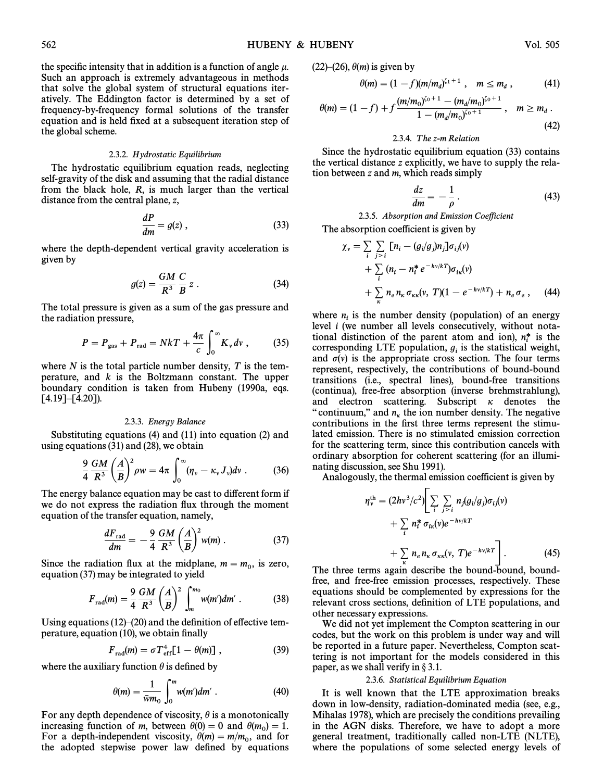the specific intensity that in addition is a function of angle  $\mu$ . Such an approach is extremely advantageous in methods that solve the global system of structural equations iteratively. The Eddington factor is determined by a set of frequency-by-frequency formal solutions of the transfer equation and is held fixed at a subsequent iteration step of the global scheme.

#### 2.3.2. Hydrostatic Equilibrium

The hydrostatic equilibrium equation reads, neglecting self-gravity of the disk and assuming that the radial distance from the black hole,  $R$ , is much larger than the vertical distance from the central plane, z,

$$
\frac{dP}{dm} = g(z) \,,\tag{33}
$$

where the depth-dependent vertical gravity acceleration is given by

$$
g(z) = \frac{GM}{R^3} \frac{C}{B} z \ . \tag{34}
$$

The total pressure is given as a sum of the gas pressure and the radiation pressure,

$$
P = P_{\text{gas}} + P_{\text{rad}} = NkT + \frac{4\pi}{c} \int_0^\infty K_v \, dv \,, \tag{35}
$$

where  $N$  is the total particle number density,  $T$  is the temperature, and  $k$  is the Boltzmann constant. The upper boundary condition is taken from Hubeny (1990a, eqs.  $[4.19]$ <sup>[4.20]</sup>).

# 2.3.3. Energy Balance

Substituting equations (4) and  $(11)$  into equation  $(2)$  and

using equations (31) and (28), we obtain  
\n
$$
\frac{9}{4} \frac{GM}{R^3} \left(\frac{A}{B}\right)^2 \rho w = 4\pi \int_0^\infty (\eta_v - \kappa_v J_v) dv .
$$
\n(36)

The energy balance equation may be cast to different form if we do not express the radiation flux through the moment equation of the transfer equation, namely,<br> $\frac{dF_{\text{rad}}}{dt} = -\frac{9}{2} \frac{GM}{d} \left(\frac{A}{d}\right)^2 w$ 

$$
\frac{dF_{\text{rad}}}{dm} = -\frac{9}{4} \frac{GM}{R^3} \left(\frac{A}{B}\right)^2 w(m) \,. \tag{37}
$$

Since the radiation flux at the midplane,  $m = m_0$ , is zero, equation (37) may be integrated to yield

equation (37) may be integrated to yield  
\n
$$
F_{\text{rad}}(m) = \frac{9}{4} \frac{GM}{R^3} \left(\frac{A}{B}\right)^2 \int_m^{m_0} w(m') dm' . \tag{38}
$$

Using equations  $(12)$ – $(20)$  and the definition of effective temperature, equation (10), we obtain finally

$$
F_{\rm rad}(m) = \sigma T_{\rm eff}^4 [1 - \theta(m)] \;, \tag{39}
$$

where the auxiliary function  $\theta$  is defined by<br>  $\theta(m) = \frac{1}{m} \int_{-\infty}^{m} w(m') dm'$ 

$$
\theta(m) = \frac{1}{\bar{w}m_0} \int_0^m w(m')dm' \ . \tag{40}
$$

For any depth dependence of viscosity,  $\theta$  is a monotonically increasing function of m, between  $\theta(0) = 0$  and  $\theta(m_0) = 1$ .<br>For a depth-independent viscosity  $\theta(m) = m/m$  and for For a depth-independent viscosity,  $\theta(m) = m/m_0$ , and for the adopted stanying power law defined by equations the adopted stepwise power law defined by equations  $(22)$ – $(26)$ ,  $\theta(m)$  is given by

$$
\theta(m) = (1 - f)(m/m_d)^{\zeta_1 + 1} , \quad m \le m_d , \qquad (41)
$$

$$
\theta(m) = (1 - f) + f \frac{(m/m_0)^{\zeta_0 + 1} - (m_d/m_0)^{\zeta_0 + 1}}{1 - (m_d/m_0)^{\zeta_0 + 1}}, \quad m \ge m_d.
$$
\n(42)

## 2.3.4. The z-m Relation

Since the hydrostatic equilibrium equation  $(33)$  contains the vertical distance z explicitly, we have to supply the relation between  $z$  and  $m$ , which reads simply

$$
\frac{dz}{dm} = -\frac{1}{\rho} \,. \tag{43}
$$

2.3.5. Absorption and Emission Coefficient

The absorption coefficient is given by

$$
\chi_{v} = \sum_{i} \sum_{j>i} [n_{i} - (g_{i}/g_{j})n_{j}] \sigma_{ij}(v)
$$
  
+ 
$$
\sum_{i} (n_{i} - n_{i}^{*} e^{-hv/kT}) \sigma_{ik}(v)
$$
  
+ 
$$
\sum_{\kappa} n_{e} n_{\kappa} \sigma_{\kappa\kappa}(v, T)(1 - e^{-hv/kT}) + n_{e} \sigma_{e} , \quad (44)
$$

where  $n_i$  is the number density (population) of an energy  $\frac{1}{i}$  (we number all levels consecutively, without notational distinction of the parent atom and ion),  $n_i^*$  is the corresponding LTE population,  $g_i$  is the statistical weight, corresponding  $E1E$  population,  $y_i$  is the statistical weight, and  $\sigma(v)$  is the appropriate cross section. The four terms represent, respectively, the contributions of bound-bound transitions (i.e., spectral lines), bound-free transitions (continua), free-free absorption (inverse brehmstrahlung), and electron scattering. Subscript  $\kappa$  denotes the " continuum," and  $n_k$  the ion number density. The negative contributions in the first three terms represent the stimulated emission. There is no stimulated emission correction for the scattering term, since this contribution cancels with ordinary absorption for coherent scattering (for an illuminating discussion, see Shu 1991).

Analogously, the thermal emission coefficient is given by  
\n
$$
\eta_v^{\text{th}} = (2hv^3/c^2) \left[ \sum_i \sum_{j>i} n_j (g_i/g_j) \sigma_{ij}(v) + \sum_i n_i^* \sigma_{ik}(v) e^{-hv/kT} + \sum_{\kappa} n_e n_{\kappa} \sigma_{\kappa\kappa}(v, T) e^{-hv/kT} \right].
$$
\n(45)

The three terms again describe the bound-bound, boundfree, and free-free emission processes, respectively. These equations should be complemented by expressions for the relevant cross sections, definition of LTE populations, and other necessary expressions.

We did not yet implement the Compton scattering in our codes, but the work on this problem is under way and will be reported in a future paper. Nevertheless, Compton scattering is not important for the models considered in this paper, as we shall verify in  $\S 3.1$ .

## 2.3.6. Statistical Equilibrium Equation

It is well known that the LTE approximation breaks down in low-density, radiation-dominated media (see, e.g., Mihalas 1978), which are precisely the conditions prevailing in the AGN disks. Therefore, we have to adopt a more general treatment, traditionally called non-LTE (NLTE), where the populations of some selected energy levels of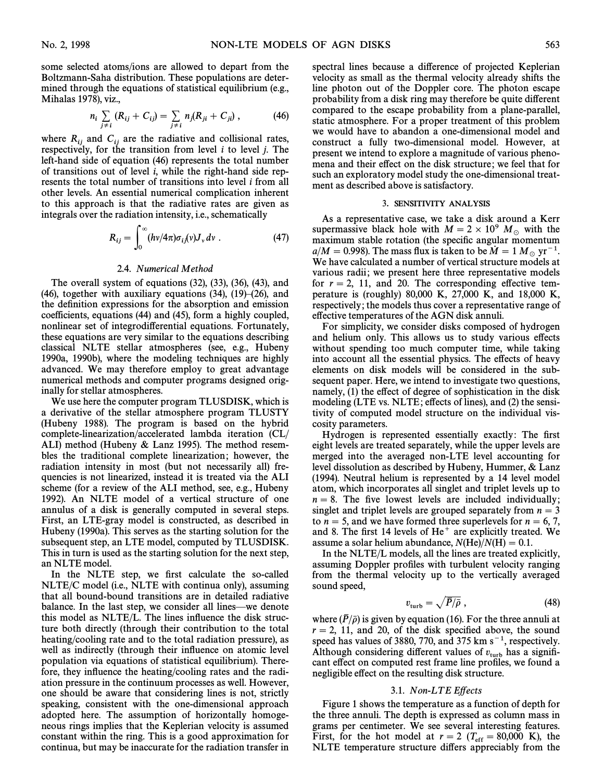some selected atoms/ions are allowed to depart from the Boltzmann-Saha distribution. These populations are determined through the equations of statistical equilibrium (e.g., Mihalas 1978), viz.,

$$
n_i \sum_{j \neq i} (R_{ij} + C_{ij}) = \sum_{j \neq i} n_j (R_{ji} + C_{ji}), \qquad (46)
$$

where  $R_{ij}$  and  $C_{ij}$  are the radiative and collisional rates, respectively, for the transition from level  $i$  to level  $j$ . The left-hand side of equation (46) represents the total number of transitions out of level i, while the right-hand side represents the total number of transitions into level i from all other levels. An essential numerical complication inherent to this approach is that the radiative rates are given as

integrals over the radiation intensity, i.e., schematically  
\n
$$
R_{ij} = \int_0^\infty (hv/4\pi)\sigma_{ij}(v)J_v dv . \qquad (47)
$$

#### 2.4. Numerical Method

The overall system of equations  $(32)$ ,  $(33)$ ,  $(36)$ ,  $(43)$ , and (46), together with auxiliary equations  $(34)$ ,  $(19)$ – $(26)$ , and the definition expressions for the absorption and emission coefficients, equations  $(44)$  and  $(45)$ , form a highly coupled, nonlinear set of integrodifferential equations. Fortunately, these equations are very similar to the equations describing classical NLTE stellar atmospheres (see, e.g., Hubeny 1990a, 1990b), where the modeling techniques are highly advanced. We may therefore employ to great advantage numerical methods and computer programs designed originally for stellar atmospheres.

We use here the computer program TLUSDISK, which is a derivative of the stellar atmosphere program TLUSTY (Hubeny 1988). The program is based on the hybrid complete-linearization/accelerated lambda iteration (CL/ ALI) method (Hubeny  $&$  Lanz 1995). The method resembles the traditional complete linearization; however, the radiation intensity in most (but not necessarily all) frequencies is not linearized, instead it is treated via the ALI scheme (for a review of the ALI method, see, e.g., Hubeny 1992). An NLTE model of a vertical structure of one annulus of a disk is generally computed in several steps. First, an LTE-gray model is constructed, as described in Hubeny (1990a). This serves as the starting solution for the subsequent step, an LTE model, computed by TLUSDISK. This in turn is used as the starting solution for the next step, an NLTE model.

In the NLTE step, we first calculate the so-called NLTE/C model (i.e., NLTE with continua only), assuming that all bound-bound transitions are in detailed radiative balance. In the last step, we consider all lines—we denote this model as NLTE/L. The lines influence the disk structure both directly (through their contribution to the total heating/cooling rate and to the total radiation pressure), as well as indirectly (through their influence on atomic level population via equations of statistical equilibrium). Therefore, they influence the heating/cooling rates and the radiation pressure in the continuum processes as well. However, one should be aware that considering lines is not, strictly speaking, consistent with the one-dimensional approach adopted here. The assumption of horizontally homogeneous rings implies that the Keplerian velocity is assumed constant within the ring. This is a good approximation for continua, but may be inaccurate for the radiation transfer in

spectral lines because a difference of projected Keplerian velocity as small as the thermal velocity already shifts the line photon out of the Doppler core. The photon escape probability from a disk ring may therefore be quite di†erent compared to the escape probability from a plane-parallel, static atmosphere. For a proper treatment of this problem we would have to abandon a one-dimensional model and construct a fully two-dimensional model. However, at present we intend to explore a magnitude of various phenomena and their effect on the disk structure; we feel that for such an exploratory model study the one-dimensional treatment as described above is satisfactory.

### 3. SENSITIVITY ANALYSIS

As a representative case, we take a disk around a Kerr supermassive black hole with  $M = 2 \times 10^9$  M<sub>o</sub> with the maximum stable rotation (the specific angular momentum  $a/M = 0.998$ . The mass flux is taken to be  $\dot{M} = 1 M_{\odot} \, yr^{-1}$ . We have calculated a number of vertical structure models at  $W = \frac{1}{2} M_{\odot}^{0}$ various radii; we present here three representative models for  $r = 2$ , 11, and 20. The corresponding effective temperature is (roughly) 80,000 K, 27,000 K, and 18,000 K, respectively; the models thus cover a representative range of effective temperatures of the AGN disk annuli.

For simplicity, we consider disks composed of hydrogen and helium only. This allows us to study various effects without spending too much computer time, while taking into account all the essential physics. The effects of heavy elements on disk models will be considered in the subsequent paper. Here, we intend to investigate two questions, namely,  $(1)$  the effect of degree of sophistication in the disk modeling (LTE vs. NLTE; effects of lines), and  $(2)$  the sensitivity of computed model structure on the individual viscosity parameters.

Hydrogen is represented essentially exactly: The first eight levels are treated separately, while the upper levels are merged into the averaged non-LTE level accounting for level dissolution as described by Hubeny, Hummer,  $\&$  Lanz (1994). Neutral helium is represented by a 14 level model atom, which incorporates all singlet and triplet levels up to  $n = 8$ . The five lowest levels are included individually; singlet and triplet levels are grouped separately from  $n = 3$ to  $n = 5$ , and we have formed three superlevels for  $n = 6, 7$ , and 8. The first 14 levels of  $He<sup>+</sup>$  are explicitly treated. We assume a solar helium abundance,  $N(\text{He})/N(\text{H})=0.1$ .

In the NLTE/L models, all the lines are treated explicitly, assuming Doppler profiles with turbulent velocity ranging from the thermal velocity up to the vertically averaged sound speed,

$$
v_{\rm turb} = \sqrt{\bar{P}/\bar{\rho}} \; , \tag{48}
$$

where  $(\bar{P}/\bar{\rho})$  is given by equation (16). For the three annuli at  $r = 2$ , 11, and 20, of the disk specified above, the sound speed has values of 3880, 770, and 375 km  $s^{-1}$ , respectively. Although considering different values of  $v_{\text{turb}}$  has a significant effect on computed rest frame line profiles, we found a negligible effect on the resulting disk structure.

### 3.1. Non-LTE Effects

Figure 1 shows the temperature as a function of depth for the three annuli. The depth is expressed as column mass in grams per centimeter. We see several interesting features. First, for the hot model at  $r = 2$  ( $T_{\text{eff}} = 80,000$  K), the NI TE temperature structure differs appreciably from the NLTE temperature structure differs appreciably from the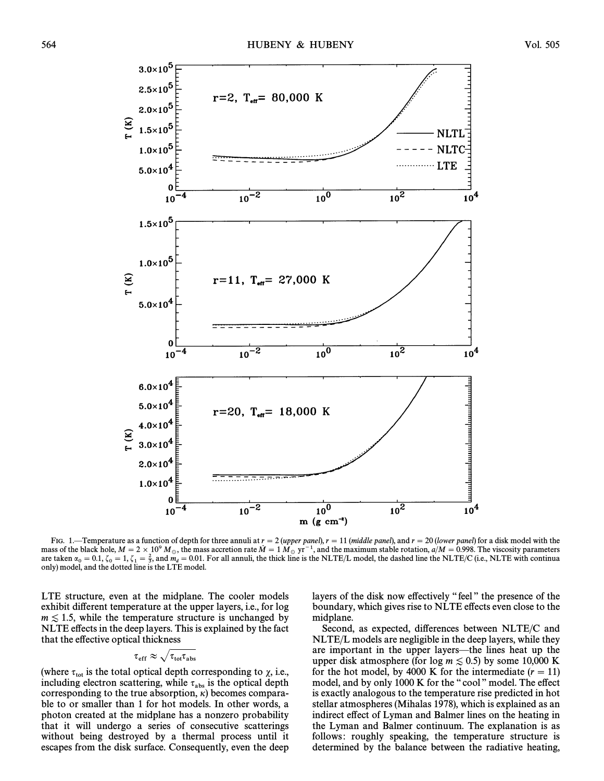

FIG. 1.—Temperature as a function of depth for three annuli at  $r = 2$  (upper panel),  $r = 11$  (middle panel), and  $r = 20$  (lower panel) for a disk model with the mass of the black hole,  $M = 2 \times 10^9$   $M_{\odot}$ , the mass acc mass of the black hole,  $M = 2 \times 10^9 M_{\odot}$ , the mass accretion rate  $\dot{M} = 1 M_{\odot}$  yr<sup>-1</sup>, and the maximum stable rotation,  $a/M = 0.998$ . The viscosity parameters<br>are taken  $\alpha_0 = 0.1$ ,  $\zeta_0 = 1$ ,  $\zeta_1 = \frac{2}{3}$ , and only) model, and the dotted line is the LTE model.

LTE structure, even at the midplane. The cooler models exhibit different temperature at the upper layers, i.e., for log  $m \leq 1.5$ , while the temperature structure is unchanged by NLTE effects in the deep layers. This is explained by the fact that the effective optical thickness

$$
\tau_{\rm eff} \approx \sqrt{\tau_{\rm tot} \tau_{\rm abs}}
$$

(where  $\tau_{\text{tot}}$  is the total optical depth corresponding to  $\chi$ , i.e., including electron scattering, while  $\tau_{\text{abs}}$  is the optical depth corresponding to the true absorption,  $\kappa$ ) becomes comparable to or smaller than 1 for hot models. In other words, a photon created at the midplane has a nonzero probability that it will undergo a series of consecutive scatterings without being destroyed by a thermal process until it escapes from the disk surface. Consequently, even the deep layers of the disk now effectively "feel" the presence of the boundary, which gives rise to NLTE effects even close to the midplane.

Second, as expected, differences between NLTE/C and NLTE/L models are negligible in the deep layers, while they are important in the upper layers—the lines heat up the upper disk atmosphere (for  $\log m \lesssim 0.5$ ) by some 10,000 K for the hot model, by 4000 K for the intermediate  $(r = 11)$ model, and by only 1000 K for the "cool" model. The effect is exactly analogous to the temperature rise predicted in hot stellar atmospheres (Mihalas 1978), which is explained as an indirect effect of Lyman and Balmer lines on the heating in the Lyman and Balmer continuum. The explanation is as follows: roughly speaking, the temperature structure is determined by the balance between the radiative heating,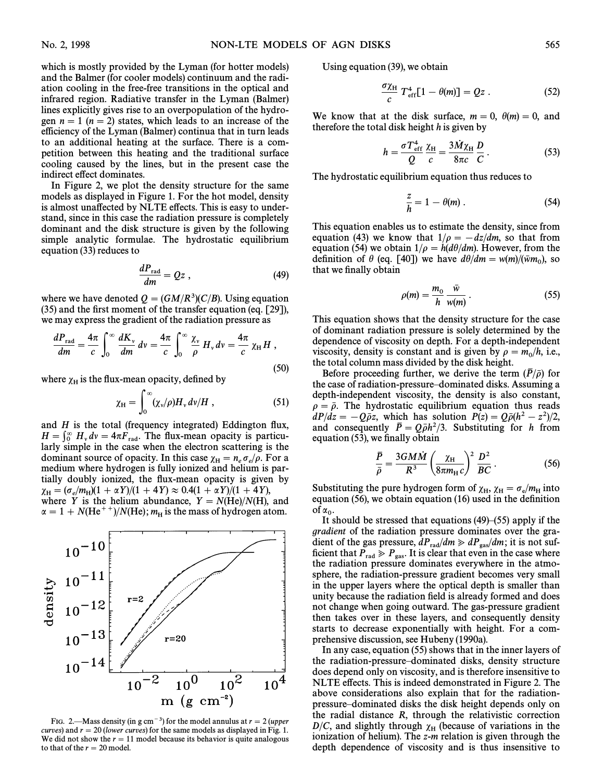which is mostly provided by the Lyman (for hotter models) and the Balmer (for cooler models) continuum and the radiation cooling in the free-free transitions in the optical and infrared region. Radiative transfer in the Lyman (Balmer) lines explicitly gives rise to an overpopulation of the hydrogen  $n = 1$  ( $n = 2$ ) states, which leads to an increase of the efficiency of the Lyman (Balmer) continua that in turn leads to an additional heating at the surface. There is a competition between this heating and the traditional surface cooling caused by the lines, but in the present case the indirect effect dominates.

In Figure 2, we plot the density structure for the same models as displayed in Figure 1. For the hot model, density is almost unaffected by NLTE effects. This is easy to understand, since in this case the radiation pressure is completely dominant and the disk structure is given by the following simple analytic formulae. The hydrostatic equilibrium equation (33) reduces to

$$
\frac{dP_{\text{rad}}}{dm} = Qz \tag{49}
$$

where we have denoted  $Q = (GM/R^3)(C/B)$ . Using equation  $(35)$  and the first moment of the transfer equation (eq. [29]),

we may express the gradient of the radiation pressure as  
\n
$$
\frac{dP_{\text{rad}}}{dm} = \frac{4\pi}{c} \int_0^\infty \frac{dK_v}{dm} dv = \frac{4\pi}{c} \int_0^\infty \frac{\chi_v}{\rho} H_v dv = \frac{4\pi}{c} \chi_H H,
$$
\n(50)

where 
$$
\chi_{\text{H}}
$$
 is the flux-mean opacity, defined by  

$$
\chi_{\text{H}} = \int_0^\infty (\chi_v/\rho) H_v \, dv/H , \qquad (51)
$$

and  $H$  is the total (frequency integrated) Eddington flux,  $H = \int_0^\infty H_y dv = 4\pi F_{\text{rad}}$ . The flux-mean opacity is particularly simple in the case when the electron scattering is the dominant source of opacity. In this case  $\chi_H = n_e \sigma_e / \rho$ . For a medium where hydrogen is fully jonized and helium is parexample to the extract of  $\epsilon$  of  $\epsilon$ . If this case  $\chi_H - h_e \epsilon_e / \epsilon$ . It is a medium where hydrogen is fully ionized and helium is partially doubly ionized, the flux-mean opacity is given by  $\chi_{\text{H}} = (\sigma_e/m_{\text{H}})(1 + \alpha Y)/(1 + 4Y) \approx 0.4(1 + \alpha Y)/(1 + 4Y)$ ,<br>where Y is the helium abundance  $Y = N(\text{He})/N(\text{H})$ . where Y is the helium abundance,  $Y = N(\text{He})/N(\text{H})$ , and



FIG. 2.—Mass density (in g cm<sup>-3</sup>) for the model annulus at  $r = 2$  (upper curves) and  $r = 20$  (lower curves) for the same models as displayed in Fig. 1. We did not show the  $r = 11$  model because its behavior is quite analogous to that of the  $r = 20$  model.

Using equation  $(39)$ , we obtain

$$
\frac{\sigma \chi_{\rm H}}{c} T_{\rm eff}^4 [1 - \theta(m)] = Qz \ . \tag{52}
$$

We know that at the disk surface,  $m = 0$ ,  $\theta(m) = 0$ , and therefore the total disk height  $h$  is given by

$$
h = \frac{\sigma T_{\rm eff}^4}{Q} \frac{\chi_{\rm H}}{c} = \frac{3M\chi_{\rm H}}{8\pi c} \frac{D}{C} \,. \tag{53}
$$

The hydrostatic equilibrium equation thus reduces to

$$
\frac{z}{h} = 1 - \theta(m) \tag{54}
$$

This equation enables us to estimate the density, since from equation (43) we know that  $1/\rho = -dz/dm$ , so that from equation (54) we obtain  $1/\rho = h(d\theta/dm)$ . However, from the definition of  $\theta$  (eq. [40]) we have  $d\theta/dm = w(m)/(\bar{w}m_0)$ , so that we finally obtain that we finally obtain

$$
\rho(m) = \frac{m_0}{h} \frac{\bar{w}}{w(m)}.
$$
\n(55)

This equation shows that the density structure for the case of dominant radiation pressure is solely determined by the dependence of viscosity on depth. For a depth-independent viscosity, density is constant and is given by  $\rho = m_0/h$ , i.e., the total column mass divided by the disk height. the total column mass divided by the disk height.

Before proceeding further, we derive the term  $(\bar{P}/\bar{\rho})$  for the case of radiation-pressure-dominated disks. Assuming a depth-independent viscosity, the density is also constant,  $\rho = \overline{\rho}$ . The hydrostatic equilibrium equation thus reads  $dP/dz = -Q\bar{\rho}z$ , which has solution  $P(z) = Q\bar{\rho}(h^2 - z^2)/2$ , and consequently  $\bar{P} = Q\bar{\rho}h^2/3$ . Substituting for h from equation  $(53)$ , we finally obtain

$$
\frac{\overline{P}}{\overline{\rho}} = \frac{3GM\dot{M}}{R^3} \left(\frac{\chi_{\text{H}}}{8\pi m_{\text{H}}c}\right)^2 \frac{D^2}{BC} \,. \tag{56}
$$

Substituting the pure hydrogen form of  $\chi_H$ ,  $\chi_H = \sigma_e/m_H$  into equation (56), we obtain equation (16) used in the definition  $H$ ,  $AH - Ve$ <br>d in the d of  $\alpha_0$ .

 $\frac{x_0}{x_0}$ .<br>It should be stressed that equations (49)–(55) apply if the gradient of the radiation pressure dominates over the gradient of the gas pressure,  $dP_{rad}/dm \geq dP_{gas}/dm$ ; it is not sufficient that  $P_{rad} \ge P_{gas}$ . It is clear that even in the case where the radiation pressure dominates everywhere in the atmosphere, the radiation-pressure gradient becomes very small in the upper layers where the optical depth is smaller than unity because the radiation field is already formed and does not change when going outward. The gas-pressure gradient then takes over in these layers, and consequently density starts to decrease exponentially with height. For a comprehensive discussion, see Hubeny (1990a).

In any case, equation  $(55)$  shows that in the inner layers of the radiation-pressure-dominated disks, density structure does depend only on viscosity, and is therefore insensitive to NLTE effects. This is indeed demonstrated in Figure 2. The above considerations also explain that for the radiationpressure–dominated disks the disk height depends only on the radial distance R, through the relativistic correction  $D/C$ , and slightly through  $\chi_H$  (because of variations in the ionization of helium). The  $z-m$  relation is given through the depth dependence of viscosity and is thus insensitive to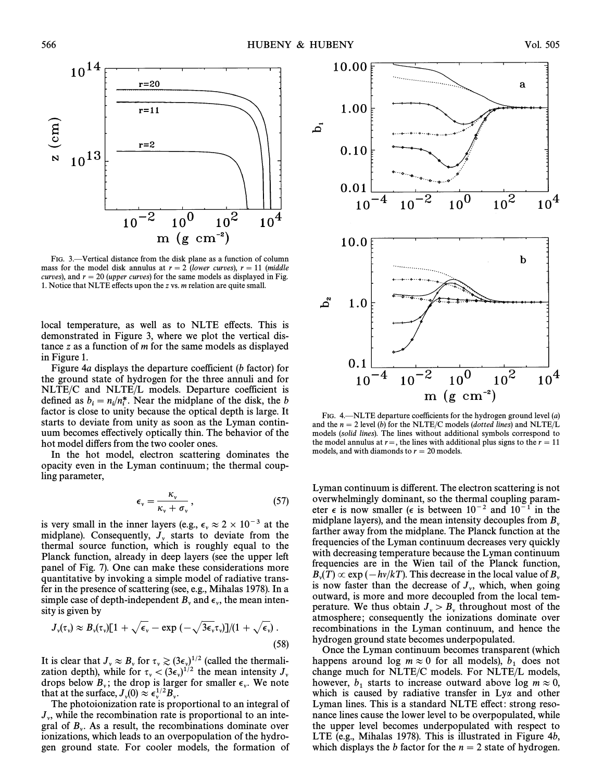

FIG. 3.—Vertical distance from the disk plane as a function of column mass for the model disk annulus at  $r = 2$  (lower curves),  $r = 11$  (middle curves), and  $r = 20$  (upper curves) for the same models as displayed in Fig. 1. Notice that NLTE effects upon the  $z$  vs.  $m$  relation are quite small.

local temperature, as well as to NLTE effects. This is demonstrated in Figure 3, where we plot the vertical distance z as a function of m for the same models as displayed in Figure 1.

Figure 4a displays the departure coefficient (b factor) for the ground state of hydrogen for the three annuli and for NLTE/C and NLTE/L models. Departure coefficient is defined as  $b_i = n_i/n_i^*$ . Near the midplane of the disk, the b factor is close to unity because the optical denth is large. It factor is close to unity because the optical depth is large. It starts to deviate from unity as soon as the Lyman continuum becomes effectively optically thin. The behavior of the hot model differs from the two cooler ones.

In the hot model, electron scattering dominates the opacity even in the Lyman continuum; the thermal coupling parameter,

$$
\epsilon_{\nu} = \frac{\kappa_{\nu}}{\kappa_{\nu} + \sigma_{\nu}}\,,\tag{57}
$$

is very small in the inner layers (e.g.,  $\epsilon_y \approx 2 \times 10^{-3}$  at the late very small in the liner layers (e.g.,  $e_y \approx 2 \times 10^{-4}$  at the midplane). Consequently,  $J_y$  starts to deviate from the thermal source function, which is roughly equal to the Planck function, already in deep layers (see the upper left panel of Fig. 7). One can make these considerations more quantitative by invoking a simple model of radiative transfer in the presence of scattering (see, e.g., Mihalas 1978). In a simple case of depth-independent  $B_v$  and  $\epsilon_v$ , the mean inten-<br>sity is given by sity is given by

$$
J_{\nu}(\tau_{\nu}) \approx B_{\nu}(\tau_{\nu})[1 + \sqrt{\epsilon_{\nu}} - \exp(-\sqrt{3\epsilon_{\nu}}\tau_{\nu})]/(1 + \sqrt{\epsilon_{\nu}}).
$$
\n(58)

It is clear that  $J_v \approx B_v$  for  $\tau_v \gtrsim (3\epsilon_v)^{1/2}$  (called the thermali-<br>zation denth), while for  $\tau_v \gtrsim (3\epsilon_v)^{1/2}$  the mean intensity I zation depth), while for  $\tau_v < (3\epsilon_v)^{1/2}$  the mean intensity  $J_v$  drops below  $B_v$ ; the drop is larger for smaller  $\epsilon_v$ . We note that at the surface,  $J_{\nu}(0) \approx \epsilon_{\nu}^{1/2} B_{\nu}$ .<br>The photoionization rate is pro-

The photoionization rate is proportional to an integral of  $J_{v}$ , while the recombination rate is proportional to an inte-<br>gral of  $B - As$  a result, the recombinations dominate over gral of  $B_y$ . As a result, the recombinations dominate over  $B_y$  is a power population of the hydrography ionizations, which leads to an overpopulation of the hydrogen ground state. For cooler models, the formation of



FIG. 4.  $N$ LTE departure coefficients for the hydrogen ground level (a) and the  $n = 2$  level (b) for the NLTE/C models (dotted lines) and NLTE/L models (solid lines). The lines without additional symbols correspond to the model annulus at  $r =$ , the lines with additional plus signs to the  $r = 11$ models, and with diamonds to  $r = 20$  models.

Lyman continuum is different. The electron scattering is not overwhelmingly dominant, so the thermal coupling parameter  $\epsilon$  is now smaller ( $\epsilon$  is between  $10^{-2}$  and  $10^{-1}$  in the midplane layers), and the mean intensity decouples from  $B<sub>v</sub>$  farther away from the midplane. The Planck function at the frequencies of the Lyman continuum decreases very quickly with decreasing temperature because the Lyman continuum frequencies are in the Wien tail of the Planck function,  $B_v(T) \propto \exp(-hv/kT)$ . This decrease in the local value of  $B_v$  $B_{\nu}(T) \propto \exp(-h\nu/kT)$ . This decrease in the local value of  $B_{\nu}$  is now faster than the decrease of  $J_{\nu}$ , which, when going  $\mu$  and  $\mu$  and  $\mu$  and  $\mu$  are and more decoupled from the local temperature. We thus obtain  $J_v > B_v$  throughout most of the perature. We thus obtain  $J_v > B_v$  throughout most of the atmosphere; consequently the ionizations dominate over recombinations in the Lyman continuum, and hence the hydrogen ground state becomes underpopulated.

Once the Lyman continuum becomes transparent (which happens around log  $m \approx 0$  for all models),  $b_1$  does not change much for NLTE/C models. For NLTE/L models, however,  $b_1$  starts to increase outward above log  $m \approx 0$ , which is caused by radiative transfer in Lya and other Lyman lines. This is a standard NLTE effect: strong resonance lines cause the lower level to be overpopulated, while the upper level becomes underpopulated with respect to LTE (e.g., Mihalas 1978). This is illustrated in Figure  $4b$ , which displays the b factor for the  $n = 2$  state of hydrogen.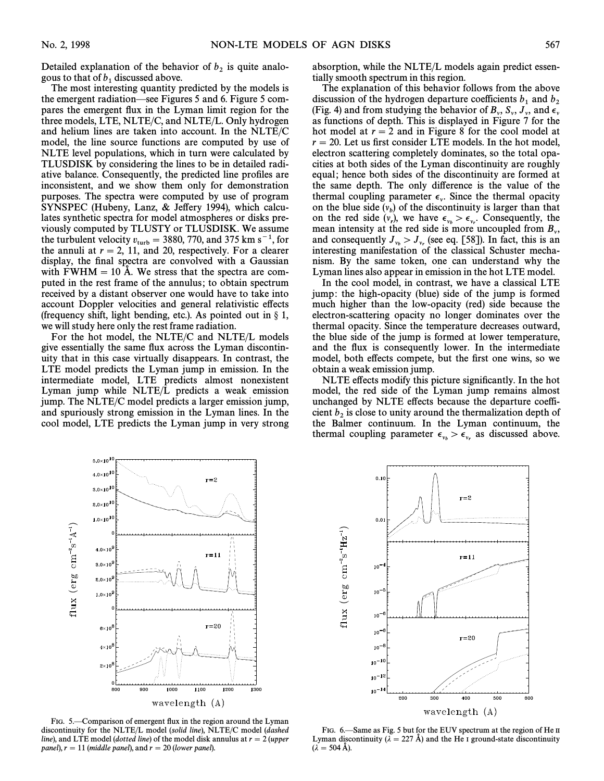Detailed explanation of the behavior of  $b_2$  is quite analogous to that of  $b_1$  discussed above.

The most interesting quantity predicted by the models is the emergent radiation—see Figures 5 and 6. Figure 5 compares the emergent flux in the Lyman limit region for the three models, LTE, NLTE/C, and NLTE/L. Only hydrogen and helium lines are taken into account. In the NLTE/C model, the line source functions are computed by use of NLTE level populations, which in turn were calculated by TLUSDISK by considering the lines to be in detailed radiative balance. Consequently, the predicted line profiles are inconsistent, and we show them only for demonstration purposes. The spectra were computed by use of program SYNSPEC (Hubeny, Lanz, & Jeffery 1994), which calculates synthetic spectra for model atmospheres or disks previously computed by TLUSTY or TLUSDISK. We assume the turbulent velocity  $v_{\text{turb}} = 3880, 770,$  and 375 km s<sup>-1</sup>, for the annuli at  $r = 2$ , 11, and 20, respectively. For a clearer display, the final spectra are convolved with a Gaussian with FWHM  $= 10$  Å. We stress that the spectra are computed in the rest frame of the annulus; to obtain spectrum received by a distant observer one would have to take into account Doppler velocities and general relativistic effects (frequency shift, light bending, etc.). As pointed out in  $\S$  1, we will study here only the rest frame radiation.

For the hot model, the NLTE/C and NLTE/L models give essentially the same flux across the Lyman discontinuity that in this case virtually disappears. In contrast, the LTE model predicts the Lyman jump in emission. In the intermediate model, LTE predicts almost nonexistent Lyman jump while NLTE/L predicts a weak emission jump. The NLTE/C model predicts a larger emission jump, and spuriously strong emission in the Lyman lines. In the cool model, LTE predicts the Lyman jump in very strong absorption, while the NLTE/L models again predict essentially smooth spectrum in this region.

The explanation of this behavior follows from the above discussion of the hydrogen departure coefficients  $b_1$  and b<br>(Fig. 4) and from studying the behavior of B, S, J, and c Exploreshight of the hydrogen departure coefficients  $v_1$  and  $v_2$ <br>(Fig. 4) and from studying the behavior of  $B_v$ ,  $S_v$ ,  $J_v$ , and  $\epsilon_v$ as functions of depth. This is displayed in Figure 7 for the hot model at  $r = 2$  and in Figure 8 for the cool model at  $r = 20$ . Let us first consider LTE models. In the hot model, electron scattering completely dominates, so the total opacities at both sides of the Lyman discontinuity are roughly equal; hence both sides of the discontinuity are formed at the same depth. The only difference is the value of the thermal coupling parameter  $\epsilon_{\nu}$ . Since the thermal opacity Internal coupling parameter  $c_y$ , since the thermal opacity<br>on the blue side  $(v_b)$  of the discontinuity is larger than that on the red side  $(v_b)$  of the discommany is alger than that<br>mean intensity at the red side is more uncounled from B on the red side  $(r_r)$ , we have  $c_{v_b} > c_{v_r}$ , consequently, the<br>mean intensity at the red side is more uncoupled from  $B_{v_r}$ , and consequently  $J_{\nu_b} > J_{\nu_r}$  (see eq. [58]). In fact, this is an interesting manifestation of the classical Schuster mechainteresting manifestation of the classical Schuster mechanism. By the same token, one can understand why the Lyman lines also appear in emission in the hot LTE model.

In the cool model, in contrast, we have a classical LTE jump: the high-opacity (blue) side of the jump is formed much higher than the low-opacity (red) side because the electron-scattering opacity no longer dominates over the thermal opacity. Since the temperature decreases outward, the blue side of the jump is formed at lower temperature, and the flux is consequently lower. In the intermediate model, both effects compete, but the first one wins, so we obtain a weak emission jump.

NLTE effects modify this picture significantly. In the hot model, the red side of the Lyman jump remains almost unchanged by NLTE effects because the departure coefficient  $b_2$  is close to unity around the thermalization depth of <sup>2</sup> the Balmer continuum. In the Lyman continuum, the thermal coupling parameter  $\epsilon_{v_b} > \epsilon_{v_r}$  as discussed above.



FIG. 5.—Comparison of emergent flux in the region around the Lyman discontinuity for the NLTE/L model (solid line), NLTE/C model (dashed line), and LTE model (dotted line) of the model disk annulus at  $r = 2$  (upper panel),  $r = 11$  (middle panel), and  $r = 20$  (lower panel).



FIG. 6. Same as Fig. 5 but for the EUV spectrum at the region of He II Lyman discontinuity ( $\lambda = 227 \text{ Å}$ ) and the He I ground-state discontinuity  $(\lambda = 504 \text{ Å}).$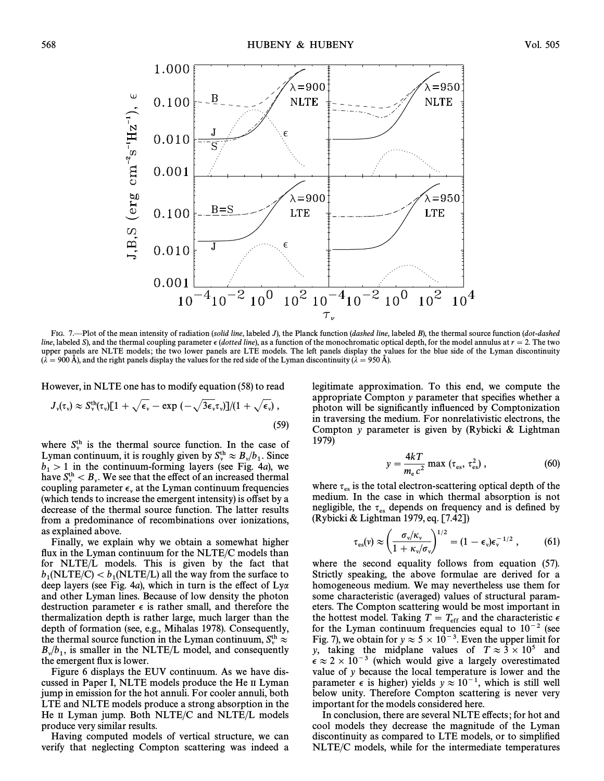

FIG. 7.—Plot of the mean intensity of radiation (solid line, labeled J), the Planck function (dashed line, labeled B), the thermal source function (dot-dashed line, labeled S), and the thermal coupling parameter  $\epsilon$  (dotted line), as a function of the monochromatic optical depth, for the model annulus at  $r = 2$ . The two upper panels are NLTE models; the two lower panels are LTE models. The left panels display the values for the blue side of the Lyman discontinuity  $(\hat{\lambda} = 900 \text{ Å})$ , and the right panels display the values for the red side of the Lyman discontinuity  $(\hat{\lambda} = 950 \text{ Å})$ .

However, in NLTE one has to modify equation  $(58)$  to read

$$
J_{\nu}(\tau_{\nu}) \approx S_{\nu}^{\text{th}}(\tau_{\nu})[1 + \sqrt{\epsilon_{\nu}} - \exp(-\sqrt{3\epsilon_{\nu}}\tau_{\nu})]/(1 + \sqrt{\epsilon_{\nu}}), \qquad (59)
$$

where  $S_{v}^{\text{th}}$  is the thermal source function. In the case of Lyman continuum, it is roughly given by  $S_v^{\text{th}} \approx B_v/b_1$ . Since<br> $b \sim 1$  in the continuum forming layers (see Fig. 4a) we Lyman continuum, it is roughly given by  $B_v \approx B_v / \sigma_1$ . Since<br>  $b_1 > 1$  in the continuum-forming layers (see Fig. 4a), we<br>
have  $S^{th} \geq R$ . We see that the effect of an increased thermal have  $S_v^{\text{th}} < B_v$ . We see that the effect of an increased thermal coupling parameter  $\epsilon$ , at the I woun continuum frequencies coupling parameter  $\epsilon_y$  at the Lyman continuum frequencies (which tends to increase the emergent intensity) is offset by a decrease of the thermal source function. The latter results from a predominance of recombinations over ionizations, as explained above.

Finally, we explain why we obtain a somewhat higher flux in the Lyman continuum for the  $NLTE/C$  models than for NLTE/L models. This is given by the fact that  $b_1(NLTE/C) < b_1(NLTE/L)$  all the way from the surface to  $d$ deep layers (see Fig. 4a), which in turn is the effect of  $Ly\alpha$ and other Lyman lines. Because of low density the photon destruction parameter  $\epsilon$  is rather small, and therefore the thermalization depth is rather large, much larger than the depth of formation (see, e.g., Mihalas 1978). Consequently, the thermal source function in the Lyman continuum,  $S_v^{\text{th}} \approx$  $B_{\nu}/b_1$ , is smaller in the NLTE/L model, and consequently<br>be ensured flux is lower  $E_v$ ,  $U_1$ , is smaller in the 1.

Figure 6 displays the EUV continuum. As we have discussed in Paper I, NLTE models produce the He II Lyman jump in emission for the hot annuli. For cooler annuli, both LTE and NLTE models produce a strong absorption in the He II Lyman jump. Both NLTE/C and NLTE/L models produce very similar results.

Having computed models of vertical structure, we can verify that neglecting Compton scattering was indeed a legitimate approximation. To this end, we compute the appropriate Compton  $y$  parameter that specifies whether a photon will be significantly influenced by Comptonization in traversing the medium. For nonrelativistic electrons, the Compton y parameter is given by (Rybicki & Lightman 1979)

$$
y = \frac{4kT}{m_{\rm e}c^2} \max \left(\tau_{\rm es}, \tau_{\rm es}^2\right),\tag{60}
$$

where  $\tau_{\rm es}$  is the total electron-scattering optical depth of the medium. In the case in which thermal absorption is not negligible, the  $\tau_{es}$  depends on frequency and is defined by regagnone, the  $t_{es}$  depends on nequently (Rybicki & Lightman 1979, eq. [7.42])

$$
\tau_{\rm es}(v) \approx \left(\frac{\sigma_{\rm v}/\kappa_{\rm v}}{1 + \kappa_{\rm v}/\sigma_{\rm v}}\right)^{1/2} = (1 - \epsilon_{\rm v})\epsilon_{\rm v}^{-1/2} \,,\tag{61}
$$

where the second equality follows from equation (57). Strictly speaking, the above formulae are derived for a homogeneous medium. We may nevertheless use them for some characteristic (averaged) values of structural parameters. The Compton scattering would be most important in the hottest model. Taking  $T = T_{\text{eff}}$  and the characteristic  $\epsilon$  for the Lyman continuum frequencies equal to  $10^{-2}$  (see Fig. 7), we obtain for  $y \approx 5 \times 10^{-3}$ . Even the upper limit for y, taking the midplane values of  $T \approx 3 \times 10^5$  and  $\epsilon \approx 2 \times 10^{-3}$  (which would give a largely overestimated value of y because the local temperature is lower and the parameter  $\epsilon$  is higher) yields  $y \approx 10^{-1}$ , which is still well below unity. Therefore Compton scattering is never very important for the models considered here.

In conclusion, there are several NLTE effects; for hot and cool models they decrease the magnitude of the Lyman discontinuity as compared to LTE models, or to simplified NLTE/C models, while for the intermediate temperatures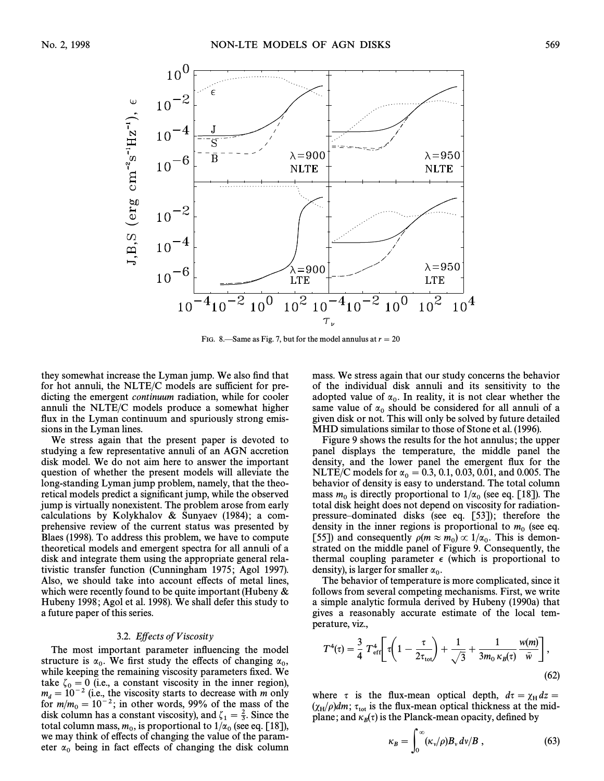

FIG. 8.—Same as Fig. 7, but for the model annulus at  $r = 20$ 

they somewhat increase the Lyman jump. We also find that for hot annuli, the NLTE/C models are sufficient for predicting the emergent continuum radiation, while for cooler annuli the NLTE/C models produce a somewhat higher flux in the Lyman continuum and spuriously strong emissions in the Lyman lines.

We stress again that the present paper is devoted to studying a few representative annuli of an AGN accretion disk model. We do not aim here to answer the important question of whether the present models will alleviate the long-standing Lyman jump problem, namely, that the theoretical models predict a significant jump, while the observed jump is virtually nonexistent. The problem arose from early calculations by Kolykhalov & Sunyaev (1984); a comprehensive review of the current status was presented by Blaes (1998). To address this problem, we have to compute theoretical models and emergent spectra for all annuli of a disk and integrate them using the appropriate general relativistic transfer function (Cunningham 1975; Agol 1997). Also, we should take into account effects of metal lines, which were recently found to be quite important (Hubeny  $\&$ Hubeny 1998; Agol et al. 1998). We shall defer this study to a future paper of this series.

## 3.2. Effects of Viscosity

The most important parameter influencing the model structure is  $\alpha_0$ . We first study the effects of changing  $\alpha_0$ , while keeping the remaining viscosity parameters fixed. We while keeping the remaining viscosity parameters fixed. take  $\zeta_0 = 0$  (i.e., a constant viscosity in the inner region),<br> $m = 10^{-2}$  (i.e., the viscosity starts to decrease with m only  $m_d = 10^{-2}$  (i.e., the viscosity starts to decrease with m only  $m/m = 10^{-2}$ ; in other words 00% of the mass of the for  $m/m_0 = 10^{-2}$ ; in other words, 99% of the mass of the disk column has a constant viscosity) and  $\zeta = \frac{2}{3}$  Since the disk column has a constant viscosity), and  $\zeta_1 = \frac{2}{3}$ . Since the fotal column mass m is proportional to  $1/\alpha$  (see eq. [18]) total column mass,  $m_0$ , is proportional to  $1/\alpha_0$  (see eq. [18]),<br>we may think of effects of changing the value of the naramwe may think of effects of changing the value of the parameter  $\alpha_0$  being in fact effects of changing the disk column

mass. We stress again that our study concerns the behavior of the individual disk annuli and its sensitivity to the adopted value of  $\alpha_0$ . In reality, it is not clear whether the same value of  $\alpha_0$ . In fearly, it is not each whether the same value of  $\alpha_0$  should be considered for all annuli of a given disk or not. This will only be solved by future detailed MHD simulations similar to those of Stone et al. (1996).

Figure 9 shows the results for the hot annulus; the upper panel displays the temperature, the middle panel the density, and the lower panel the emergent Ñux for the NLTE/C models for  $\alpha_0 = 0.3, 0.1, 0.03, 0.01,$  and 0.005. The help vior of density is easy to understand. The total column behavior of density is easy to understand. The total column mass  $m_0$  is directly proportional to  $1/\alpha_0$  (see eq. [18]). The total disk height does not depend on viscosity for radiationtotal disk height does not depend on viscosity for radiationpressure-dominated disks (see eq. [53]); therefore the density in the inner regions is proportional to  $m_0$  (see eq. [55]) and consequently  $\rho(m \approx m_0) \propto 1/\alpha_0$ . This is demon-<br>strated on the middle panel of Figure 9. Consequently, the strated on the middle panel of Figure 9. Consequently, the thermal coupling parameter  $\epsilon$  (which is proportional to density), is larger for smaller  $\alpha_0$ .

The behavior of temperature is more complicated, since it follows from several competing mechanisms. First, we write a simple analytic formula derived by Hubeny (1990a) that gives a reasonably accurate estimate of the local temperature, viz.,

$$
T^{4}(\tau) = \frac{3}{4} T_{\text{eff}}^{4} \left[ \tau \left( 1 - \frac{\tau}{2\tau_{\text{tot}}} \right) + \frac{1}{\sqrt{3}} + \frac{1}{3m_{0} \kappa_{B}(\tau)} \frac{w(m)}{\bar{w}} \right],
$$
\n(62)

where  $\tau$  is the flux-mean optical depth,  $d\tau = \chi_H dz = (\chi/d)dm$ ;  $\tau$  is the flux-mean optical thickness at the mid- $(\chi_{\text{H}}/\rho)dm$ ;  $\tau_{\text{tot}}$  is the flux-mean optical thickness at the mid-<br>plane; and  $\kappa$  (x) is the Planck-mean opecity defined by

plane; and 
$$
\kappa_B(\tau)
$$
 is the Planck-mean opacity, defined by  
\n
$$
\kappa_B = \int_0^\infty (\kappa_v/\rho)B_v dv/B
$$
\n(63)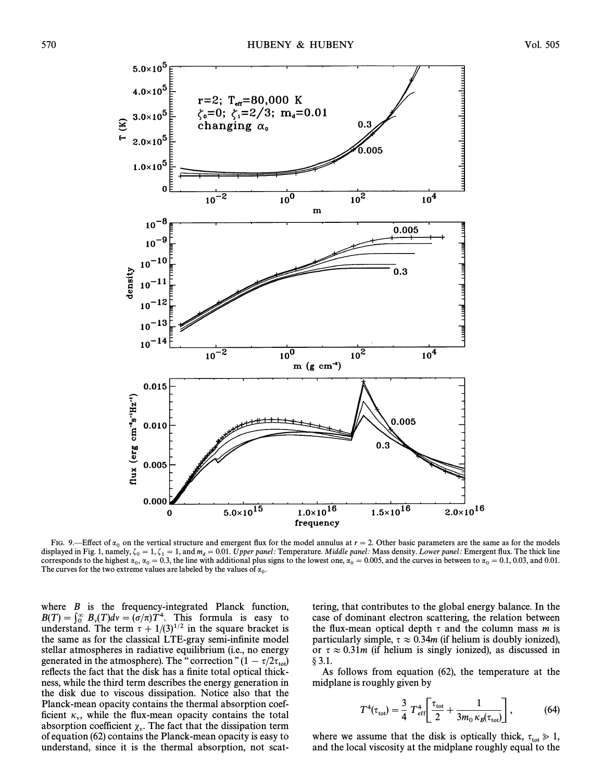

FIG. 9.—Effect of  $\alpha_0$  on the vertical structure and emergent flux for the model annulus at  $r = 2$ . Other basic parameters are the same as for the models<br>displayed in Fig. 1, namely,  $\zeta_0 = 1$ ,  $\zeta_1 = 1$ , and  $m_d = 0.0$ Examples to the highest  $\alpha_0 = 0.3$ , the line with additional plus signs to the lowest one,  $\alpha_0 = 0.005$ , and the curves in between to  $\alpha_0 = 0.1$ , 0.03, and 0.01.<br>The curves for the two extreme values are labeled by the The curves for the two extreme values are labeled by the values of  $\alpha_0$ .

where  $B$  is the frequency-integrated Planck function,  $B(T) = \int_0^\infty B_v(T) dv = (\sigma/\pi)T^4$ . This formula is easy to understand The term  $\tau + 1/(31^{1/2})$  in the square bracket is understand. The term  $\tau + 1/(3)^{1/2}$  in the square bracket is the same as for the classical LTE-gray semi-infinite model stellar atmospheres in radiative equilibrium (i.e., no energy generated in the atmosphere). The "correction" $(1 - \tau/2\tau_{\text{tot}})$ <br>reflects the fact that the disk has a finite total optical thickreflects the fact that the disk has a finite total optical thickness, while the third term describes the energy generation in the disk due to viscous dissipation. Notice also that the Planck-mean opacity contains the thermal absorption coefficient  $\kappa_{\nu}$ , while the flux-mean opacity contains the total absorption coefficient  $\chi_{\nu}$ . The fact that the dissipation term description connective  $\chi_{\nu}$ . The fact that the dissipation term of equation (62) contains the Planck-mean opacity is easy to understand, since it is the thermal absorption, not scattering, that contributes to the global energy balance. In the case of dominant electron scattering, the relation between the flux-mean optical depth  $\tau$  and the column mass m is particularly simple,  $\tau \approx 0.34m$  (if helium is doubly ionized), or  $\tau \approx 0.31$ m (if helium is singly ionized), as discussed in  $§ 3.1.$ 

As follows from equation  $(62)$ , the temperature at the midplane is roughly given by

$$
T^{4}(\tau_{\text{tot}}) = \frac{3}{4} T_{\text{eff}}^{4} \left[ \frac{\tau_{\text{tot}}}{2} + \frac{1}{3m_{0} \kappa_{B}(\tau_{\text{tot}})} \right],
$$
 (64)

where we assume that the disk is optically thick,  $\tau_{tot} \ge 1$ , and the local viscosity at the midplane roughly equal to the and the local viscosity at the midplane roughly equal to the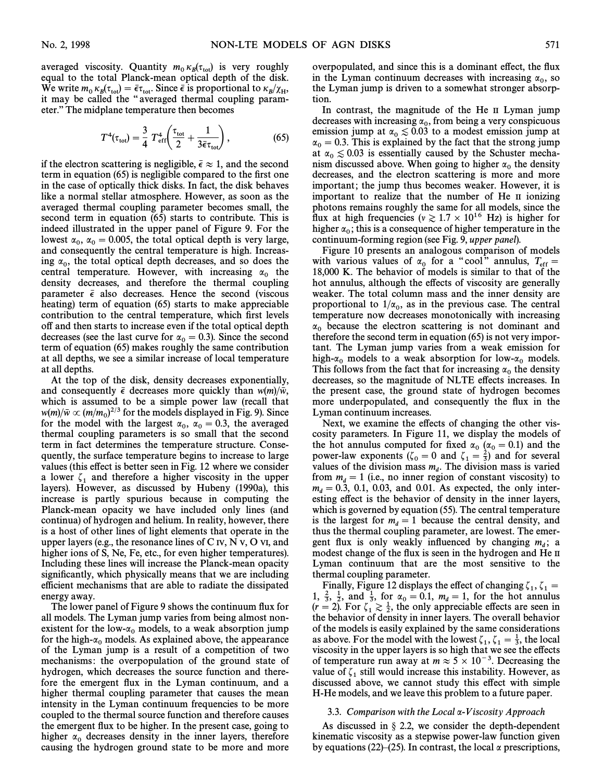averaged viscosity. Quantity  $m_0 \kappa_B(\tau_{\text{tot}})$  is very roughly equal to the total Planck-mean optical denth of the disk  $B_{\text{total}}$  are the total Planck-mean optical depth of the disk. We write  $m_0 \kappa_B(\tau_{\text{tot}}) = \bar{\epsilon}\tau_{\text{tot}}$ . Since  $\bar{\epsilon}$  is proportional to  $\kappa_B/\chi_H$ ,<br>it may be called the "averaged thermal coupling paramit may be called the "averaged thermal coupling parameter." The midplane temperature then becomes

$$
T^4(\tau_{\text{tot}}) = \frac{3}{4} T_{\text{eff}}^4 \left( \frac{\tau_{\text{tot}}}{2} + \frac{1}{3\bar{\epsilon}\tau_{\text{tot}}} \right), \tag{65}
$$

if the electron scattering is negligible,  $\bar{\epsilon} \approx 1$ , and the second term in equation  $(65)$  is negligible compared to the first one in the case of optically thick disks. In fact, the disk behaves like a normal stellar atmosphere. However, as soon as the averaged thermal coupling parameter becomes small, the second term in equation  $(65)$  starts to contribute. This is indeed illustrated in the upper panel of Figure 9. For the lowest  $\alpha_0$ ,  $\alpha_0 = 0.005$ , the total optical depth is very large, and consequently the central temperature is high Increasand consequently the central temperature is high. Increasing  $\alpha_0$ , the total optical depth decreases, and so does the  $\log \alpha_0$ , the total optical depth decreases, and so does the central temperature. However, with increasing  $\alpha_0$  the density decreases, and therefore the thermal coupling parameter  $\bar{\epsilon}$  also decreases. Hence the second (viscous heating) term of equation  $(65)$  starts to make appreciable contribution to the central temperature, which first levels o† and then starts to increase even if the total optical depth decreases (see the last curve for  $\alpha_0 = 0.3$ ). Since the second term of equation (65) makes roughly the same contribution term of equation  $(65)$  makes roughly the same contribution at all depths, we see a similar increase of local temperature at all depths.

At the top of the disk, density decreases exponentially, and consequently  $\bar{\epsilon}$  decreases more quickly than  $w(m)/\bar{w}$ , which is assumed to be a simple power law (recall that  $w(m)/\bar{w} \propto (m/m_0)^{2/3}$  for the models displayed in Fig. 9). Since  $\epsilon_{\text{tot}} = 0.3$  the averaged for the model with the largest  $\alpha_0$ ,  $\alpha_0 = 0.3$ , the averaged thermal coupling parameters is so small that the second thermal coupling parameters is so small that the second term in fact determines the temperature structure. Consequently, the surface temperature begins to increase to large values (this effect is better seen in Fig. 12 where we consider a lower  $\zeta_1$  and therefore a higher viscosity in the upper layers). However, as discussed by Hubeny (1990a), this increase is partly spurious because in computing the Planck-mean opacity we have included only lines (and continua) of hydrogen and helium. In reality, however, there is a host of other lines of light elements that operate in the upper layers (e.g., the resonance lines of C IV, N V, O VI, and higher ions of S, Ne, Fe, etc., for even higher temperatures). Including these lines will increase the Planck-mean opacity significantly, which physically means that we are including efficient mechanisms that are able to radiate the dissipated energy away.

The lower panel of Figure 9 shows the continuum flux for all models. The Lyman jump varies from being almost nonexistent for the low- $\alpha_0$  models, to a weak absorption jump for the high- $\alpha_0$  models. As explained above, the appearance <sup>0</sup> of the Lyman jump is a result of a competition of two mechanisms: the overpopulation of the ground state of hydrogen, which decreases the source function and therefore the emergent Ñux in the Lyman continuum, and a higher thermal coupling parameter that causes the mean intensity in the Lyman continuum frequencies to be more coupled to the thermal source function and therefore causes the emergent Ñux to be higher. In the present case, going to higher  $\alpha_0$  decreases density in the inner layers, therefore causing the hydrogen ground state to be more and more

overpopulated, and since this is a dominant e†ect, the Ñux in the Lyman continuum decreases with increasing  $\alpha_0$ , so the Lyman jump is driven to a somewhat stronger absorption.

In contrast, the magnitude of the He II Lyman jump decreases with increasing  $\alpha_0$ , from being a very conspicuous emission jump at  $\alpha_0 \leq 0.03$  to a modest emission jump at  $\alpha_n \leq 0.3$ .  $\alpha_0 = 0.3$ . This is explained by the fact that the strong jump at  $\alpha_0 \leq 0.03$  is essentially caused by the Schuster mecha-<br>nism discussed above. When going to bigher  $\alpha$ , the density nism discussed above. When going to higher  $\alpha_0$  the density decreases, and the electron scattering is more and more important; the jump thus becomes weaker. However, it is important to realize that the number of He II ionizing photons remains roughly the same for all models, since the flux at high frequencies ( $v \ge 1.7 \times 10^{16}$  Hz) is higher for higher  $\alpha_0$ ; this is a consequence of higher temperature in the  $m<sub>0</sub>$ , this is a consequence of higher temperature continuum-forming region (see Fig. 9, upper panel).

Figure 10 presents an analogous comparison of models with various values of  $\alpha_0$  for a "cool" annulus,  $T_{\text{eff}} = 18,000 \text{ K}$ . The behavior of models is similar to that of the 18,000 K. The behavior of models is similar to that of the hot annulus, although the effects of viscosity are generally weaker. The total column mass and the inner density are proportional to  $1/\alpha_0$ , as in the previous case. The central temperature now decreases monotonically with increasing  $t_{\text{eff}}$  $\alpha_0$  because the electron scattering is not dominant and therefore the second term in equation (65) is not very important. The Lyman jump varies from a weak emission for high- $\alpha_0$  models to a weak absorption for low- $\alpha_0$  models. This follows from the fact that for increasing  $\alpha_0$  the density decreases, so the magnitude of NLTE effects increases. In the present case, the ground state of hydrogen becomes more underpopulated, and consequently the flux in the Lyman continuum increases.

Next, we examine the effects of changing the other viscosity parameters. In Figure 11, we display the models of the hot annulus computed for fixed  $\alpha_0$  ( $\alpha_0 = 0.1$ ) and the nower-law exponents ( $\beta = 0$  and  $\beta = \frac{2}{3}$ ) and for several power-law exponents  $(\zeta_0 = 0 \text{ and } \zeta_1 = \frac{2}{3})$  and for several values of the division mass  $m$ . The division mass is varied power-law exponents  $(s_0 - \sigma \tan \theta_s) - \frac{1}{3}$  and for several<br>values of the division mass  $m_d$ . The division mass is varied<br>from m – 1 (i.e., no inner region of constant viscosity) to from  $m_d = 1$  (i.e., no inner region of constant viscosity) to  $m_c = 0.3 \pm 0.1 \pm 0.03$  and 0.01 As expected, the only inter $m_d = 0.3, 0.1, 0.03,$  and 0.01. As expected, the only inter-<br>esting effect is the behavior of density in the inner layers esting effect is the behavior of density in the inner layers, which is governed by equation  $(55)$ . The central temperature is the largest for  $m_d = 1$  because the central density, and thus the thermal coupling parameter, are lowest. The emerthus the thermal coupling parameter, are lowest. The emergent flux is only weakly influenced by changing  $m_d$ ; a modest change of the flux is seen in the hydrogen and He II. modest change of the flux is seen in the hydrogen and He II Lyman continuum that are the most sensitive to the thermal coupling parameter.

Finally, Figure 12 displays the effect of changing  $\zeta_1$ ,  $\zeta_1 =$ <br> $\frac{2}{\pi} \int \ln 1 \cdot \ln \pi$  for  $\alpha = 0.1$  m = 1 for the hot annulus 1,  $\frac{2}{3}$ ,  $\frac{1}{2}$ , and  $\frac{1}{3}$ , for  $\alpha_0 = 0.1$ ,  $m_d = 1$ , for the hot annulus<br>1,  $\frac{2}{3}$ ,  $\frac{1}{2}$ , and  $\frac{1}{3}$ , for  $\alpha_0 = 0.1$ , mag = 1, for the hot annulus 1, 3, 2, and 3, bi  $\alpha_0 = 0.1$ ,  $m_d = 1$ , for the not all and  $(r = 2)$ . For  $\zeta_1 \gtrsim \frac{1}{2}$ , the only appreciable effects are seen in the behavior. the behavior of density in inner layers. The overall behavior  $\frac{1}{2}$ of the models is easily explained by the same considerations as above. For the model with the lowest  $\zeta_1, \zeta_1 = \frac{1}{3}$ , the local viscosity in the upper layers is so high that we see the effects viscosity in the upper layers is so high that we see the effects of temperature run away at  $m \approx 5 \times 10^{-3}$ . Decreasing the value of  $\zeta_1$  still would increase this instability. However, as discussed above, we cannot study this effect with simple H-He models, and we leave this problem to a future paper.

### 3.3. Comparison with the Local  $\alpha$ -V iscosity Approach

As discussed in  $\S$  2.2, we consider the depth-dependent kinematic viscosity as a stepwise power-law function given by equations (22)–(25). In contrast, the local  $\alpha$  prescriptions,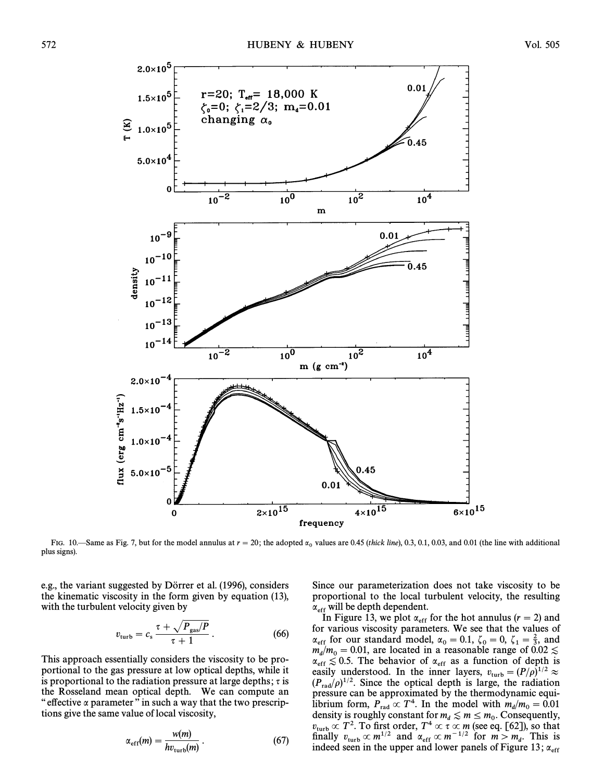

FIG. 10.—Same as Fig. 7, but for the model annulus at  $r = 20$ ; the adopted  $\alpha_0$  values are 0.45 (*thick line*), 0.3, 0.1, 0.03, and 0.01 (the line with additional plus signs).

e.g., the variant suggested by Dörrer et al. (1996), considers the kinematic viscosity in the form given by equation (13), with the turbulent velocity given by

$$
v_{\rm turb} = c_{\rm s} \frac{\tau + \sqrt{P_{\rm gas}/P}}{\tau + 1} \,. \tag{66}
$$

This approach essentially considers the viscosity to be proportional to the gas pressure at low optical depths, while it is proportional to the radiation pressure at large depths;  $\tau$  is the Rosseland mean optical depth. We can compute an " effective  $\alpha$  parameter  $\ddot{\ }$  in such a way that the two prescriptions give the same value of local viscosity,

$$
\alpha_{\rm eff}(m) = \frac{w(m)}{h v_{\rm turb}(m)}\,. \tag{67}
$$

Since our parameterization does not take viscosity to be proportional to the local turbulent velocity, the resulting

 $\alpha_{\text{eff}}$  will be depth dependent.<br>In Figure 13, we plot  $\alpha_{\text{eff}}$  for the hot annulus ( $r = 2$ ) and for various viscosity parameters. We see that the values of  $\alpha_{\text{eff}}$  for our standard model,  $\alpha_0 = 0.1$ ,  $\zeta_0 = 0$ ,  $\zeta_1 = \frac{2}{3}$ , and  $\alpha_{\text{eff}}$  and  $\alpha_{\text{eff}}$  are located in a reasonable range of 0.02  $m_d/m_0 = 0.01$ ,  $m_d/m_0 = 0.1$ ,  $s_0 = 0$ ,  $s_1 = 3$ , and<br> $m_d/m_0 = 0.01$ , are located in a reasonable range of 0.02  $\lesssim \alpha$ , as  $\alpha_{\text{eff}} \lesssim 0.5$ . The behavior of  $\alpha_{\text{eff}}$  as a function of depth is  $\alpha_{eff} \approx 0.9$ . The behavior of  $\alpha_{eff}$  as a function of  $\alpha_{eff} = (P/\rho)^{1/2} \approx 0.9$ . The inner layers,  $v_{\text{turb}} = (P/\rho)^{1/2}$  $(P_{rad}/\rho)^{1/2}$ . Since the optical depth is large, the radiation pressure can be approximated by the thermodynamic equilibrium form,  $P_{rad} \propto T^4$ . In the model with  $m_d/m_0 = 0.01$ <br>density is roughly constant for  $m \le m \le m$ . Consequently density is roughly constant for  $m_d \lesssim m \leq m_0$ . Consequently,<br>  $m_d \propto T^2$ . To first order  $T^4 \propto \tau \propto m$  (see eq. [62]), so that  $v_{\text{turb}} \propto T^2$ . To first order,  $T^4 \propto \tau \propto m$  (see eq. [62]), so that finally  $v_{\text{turb}} \propto m^{1/2}$  and  $\alpha_{\text{eff}} \propto m^{-1/2}$  for  $m > m_d$ . This is indeed seen in the upper and lower panels of Figure 13;  $\alpha$ indeed seen in the upper and lower panels of Figure 13;  $\alpha_{\text{eff}}$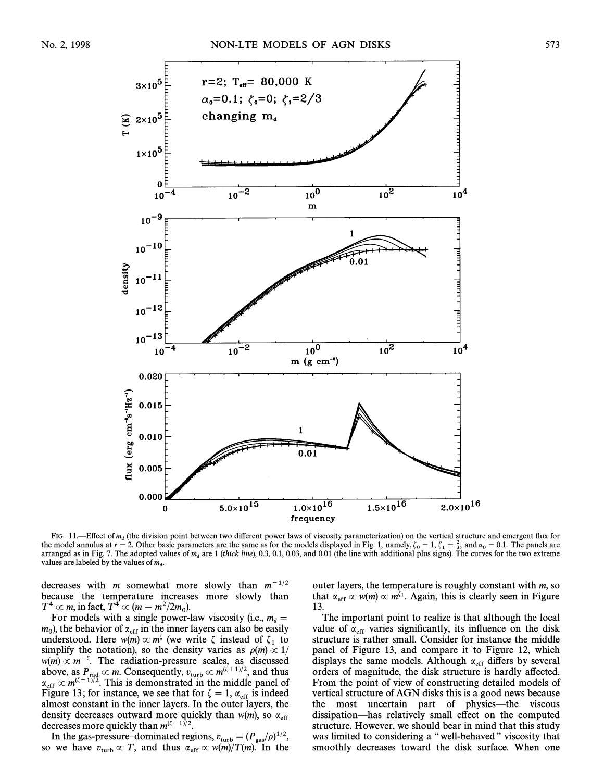

FIG. 11.—Effect of  $m_d$  (the division point between two different power laws of viscosity parameterization) on the vertical structure and emergent flux for<br>the model annulus at  $r = 2$ . Other basic parameters are the same arranged as in Fig. 7. The adopted values of  $m_d$  are 1 (*thick line*), 0.3, 0.1, 0.03, and 0.01 (the line with additional plus signs). The curves for the two extreme values are labeled by the values of  $m_d$ . values are labeled by the values of  $m_d$ .

decreases with *m* somewhat more slowly than  $m^{-1/2}$ because the temperature increases more slowly than  $T^4 \propto m$ , in fact,  $T^4 \propto (m - m^2/2m_0)$ .<br>For models with a single power.

For models with a single power-law viscosity (i.e.,  $m_d =$ ) the behavior of  $\alpha$  in the inner layers can also be easily  $m_0$ ), the behavior of  $\alpha_{\text{eff}}$  in the inner layers can also be easily understood. Here win  $\alpha$  m<sup>5</sup> (we write  $\beta$  instead of  $\beta$  to understood. Here  $w(m) \propto m^{\zeta}$  (we write  $\zeta$  instead of  $\zeta_1$  to simplify the notation), so the density varies as  $\rho(m) \propto 1/2$  $w(m) \propto m^{-\zeta}$ . The radiation-pressure scales, as discussed above, as  $P_{rad} \propto m$ . Consequently,  $v_{turb} \propto m^{(\xi+1)/2}$ , and thus  $\propto m^{(\xi-1)/2}$ . This is demonstrated in the middle panel of  $\alpha_{\text{eff}} \propto m^{(\zeta-1)/2}$ . This is demonstrated in the middle panel of  $\zeta_{\text{eff}}$ Figure 13; for instance, we see that for  $\zeta = 1$ ,  $\alpha_{\text{eff}}$  is indeed almost constant in the inner layers. In the outer layers, the density decreases outward more quickly than  $w(m)$ , so  $\alpha_{\text{eff}}$ decreases more quickly than  $m^{(\zeta-1)/2}$ .

In the gas-pressure-dominated regions,  $v_{\text{turb}} = (P_{\text{gas}}/\rho)^{1/2}$ , so we have  $v_{\text{turb}} \propto T$ , and thus  $\alpha_{\text{eff}} \propto w(m)/T(m)$ . In the outer layers, the temperature is roughly constant with  $m$ , so that  $\alpha_{\text{eff}} \propto w(m) \propto m^{51}$ . Again, this is clearly seen in Figure 13.

The important point to realize is that although the local value of  $\alpha_{\text{eff}}$  varies significantly, its influence on the disk structure is rather small. Consider for instance the middle panel of Figure 13, and compare it to Figure 12, which displays the same models. Although  $\alpha_{\text{eff}}$  differs by several orders of magnitude, the disk structure is hardly affected. From the point of view of constructing detailed models of vertical structure of AGN disks this is a good news because the most uncertain part of physics—the viscous dissipation—has relatively small effect on the computed structure. However, we should bear in mind that this study was limited to considering a "well-behaved" viscosity that smoothly decreases toward the disk surface. When one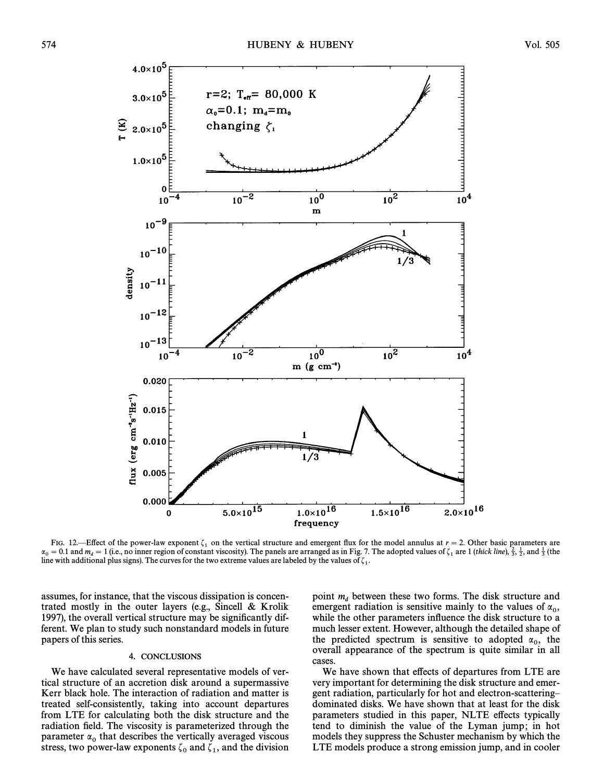

FIG. 12.—Effect of the power-law exponent  $\zeta_1$  on the vertical structure and emergent flux for the model annulus at  $r = 2$ . Other basic parameters are  $\alpha_0 = 0.1$  and  $m_d = 1$  (i.e., no inner region of constant viscosit  $\frac{3}{2}$  line with additional plus signs). The curves for the two extreme values are labeled by the values of  $\zeta_1$ .

assumes, for instance, that the viscous dissipation is concentrated mostly in the outer layers (e.g., Sincell  $&$  Krolik 1997), the overall vertical structure may be significantly different. We plan to study such nonstandard models in future papers of this series.

# 4. CONCLUSIONS

We have calculated several representative models of vertical structure of an accretion disk around a supermassive Kerr black hole. The interaction of radiation and matter is treated self-consistently, taking into account departures from LTE for calculating both the disk structure and the radiation field. The viscosity is parameterized through the parameter  $\alpha_0$  that describes the vertically averaged viscous parameter  $\alpha_0$  and describes the vertically averaged viscoles<br>stress, two power-law exponents  $\zeta_0$  and  $\zeta_1$ , and the division

point  $m_d$  between these two forms. The disk structure and emergent radiation is sensitive mainly to the values of  $\alpha_0$ , while the other parameters influence the disk structure to a much lesser extent. However, although the detailed shape of the predicted spectrum is sensitive to adopted  $\alpha_0$ , the  $\alpha$  overall appearance of the spectrum is quite similar in all cases.

We have shown that effects of departures from LTE are very important for determining the disk structure and emergent radiation, particularly for hot and electron-scatteringdominated disks. We have shown that at least for the disk parameters studied in this paper, NLTE effects typically tend to diminish the value of the Lyman jump; in hot models they suppress the Schuster mechanism by which the LTE models produce a strong emission jump, and in cooler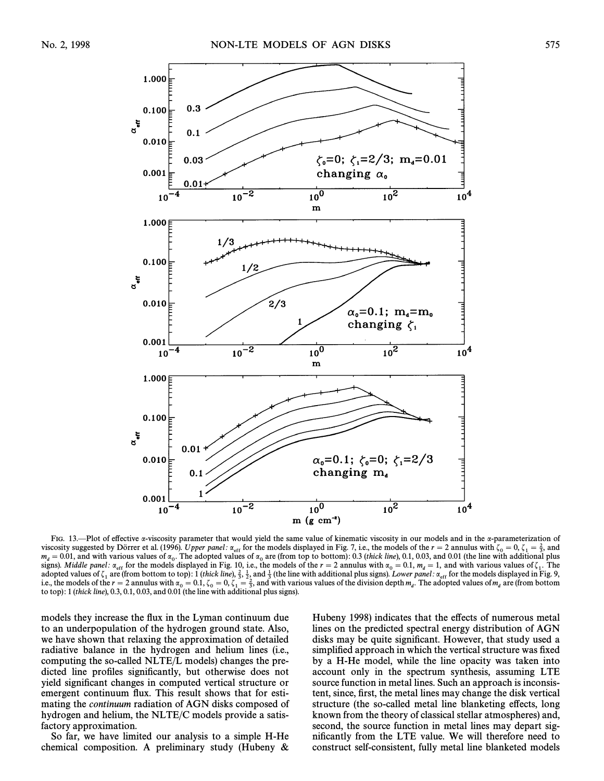

FIG. 13.—Plot of effective  $\alpha$ -viscosity parameter that would yield the same value of kinematic viscosity in our models and in the  $\alpha$ -parameterization of viscosity suggested by Dörrer et al. (1996). Upper panel:  $\alpha_{eff}$  for the models displayed in Fig. 7, i.e., the models of the r = 2 annulus with  $\zeta_0 = 0, \zeta_1 = \frac{2}{3}$ , and  $\alpha_{eff} = \frac{2}{3}$  and  $\alpha_{eff} = 0.01$  and with var  $m_d = 0.01$ , and with various values of  $\alpha_0$ . The adopted values of  $\alpha_0$  are (from top to bottom): 0.3 (thick line), 0.1, 0.03, and 0.01 (the line with additional plus given  $\alpha_0$ ). Middle panel:  $\alpha$  for the models d  $\frac{d}{dt}$  signs). Middle panel:  $\alpha_{eff}$  for the models displayed in Fig. 10, i.e., the models of the r = 2 annulus with  $\alpha_0 = 0.1$ ,  $m_d = 1$ , and with various values of  $\zeta_1$ . The effect  $\alpha$  is the effect of  $\zeta_1$ . T 0 1 adopted values of are (from bottom to top): 1 ( <sup>f</sup> thick line), and (the line with additional plus signs). L ower panel: for the models displayed in <sup>1</sup> <sup>2</sup> , 1 , 1 <sup>3</sup> <sup>a</sup> eff Fig. 9, and write  $\alpha_1$  in the models of the  $r = 2$  annulus with  $\alpha_0 = 0.1$ ,  $\zeta_0 = 0$ ,  $\zeta_1 = \frac{2}{5}$ , and with various values of the division depth  $m_d$ . The adopted values of  $m_d$  are (from bottom to top): 1 (thick line), 0  $\rightarrow$  0.1, 50  $\rightarrow$  9, 51  $\rightarrow$  3<br>(the line with addition

models they increase the flux in the Lyman continuum due to an underpopulation of the hydrogen ground state. Also, we have shown that relaxing the approximation of detailed radiative balance in the hydrogen and helium lines (i.e., computing the so-called NLTE/L models) changes the predicted line profiles significantly, but otherwise does not yield significant changes in computed vertical structure or emergent continuum flux. This result shows that for estimating the continuum radiation of AGN disks composed of hydrogen and helium, the NLTE/C models provide a satisfactory approximation.

So far, we have limited our analysis to a simple H-He chemical composition. A preliminary study (Hubeny  $\&$  Hubeny 1998) indicates that the effects of numerous metal lines on the predicted spectral energy distribution of AGN disks may be quite significant. However, that study used a simplified approach in which the vertical structure was fixed by a H-He model, while the line opacity was taken into account only in the spectrum synthesis, assuming LTE source function in metal lines. Such an approach is inconsistent, since, first, the metal lines may change the disk vertical structure (the so-called metal line blanketing effects, long known from the theory of classical stellar atmospheres) and, second, the source function in metal lines may depart significantly from the LTE value. We will therefore need to construct self-consistent, fully metal line blanketed models